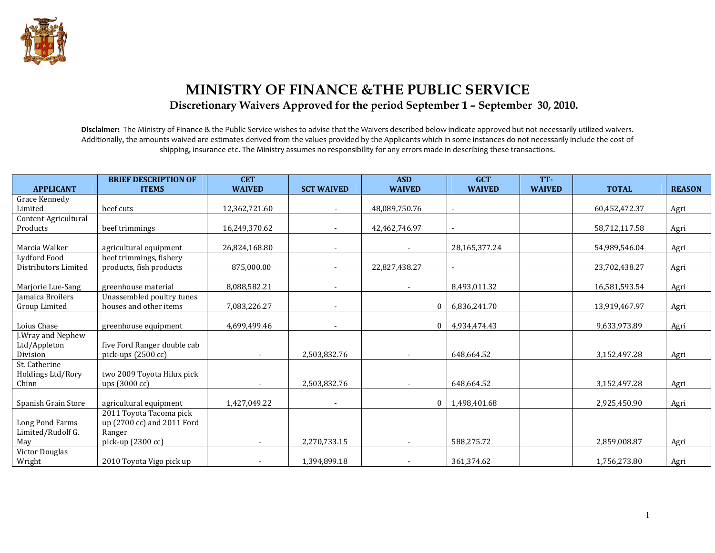

# MINISTRY OF FINANCE &THE PUBLIC SERVICE Discretionary Waivers Approved for the period September 1 – September 30, 2010.

Disclaimer: The Ministry of Finance & the Public Service wishes to advise that the Waivers described below indicate approved but not necessarily utilized waivers. Additionally, the amounts waived are estimates derived from the values provided by the Applicants which in some instances do not necessarily include the cost of shipping, insurance etc. The Ministry assumes no responsibility for any errors made in describing these transactions.

|                      | <b>BRIEF DESCRIPTION OF</b> | <b>CET</b>    |                   | <b>ASD</b>               | <b>GCT</b>    | TT-           |               |               |
|----------------------|-----------------------------|---------------|-------------------|--------------------------|---------------|---------------|---------------|---------------|
| <b>APPLICANT</b>     | <b>ITEMS</b>                | <b>WAIVED</b> | <b>SCT WAIVED</b> | <b>WAIVED</b>            | <b>WAIVED</b> | <b>WAIVED</b> | <b>TOTAL</b>  | <b>REASON</b> |
| Grace Kennedy        |                             |               |                   |                          |               |               |               |               |
| Limited              | beef cuts                   | 12,362,721.60 |                   | 48,089,750.76            |               |               | 60,452,472.37 | Agri          |
| Content Agricultural |                             |               |                   |                          |               |               |               |               |
| Products             | beef trimmings              | 16,249,370.62 |                   | 42,462,746.97            |               |               | 58,712,117.58 | Agri          |
|                      |                             |               |                   |                          |               |               |               |               |
| Marcia Walker        | agricultural equipment      | 26,824,168.80 |                   |                          | 28,165,377.24 |               | 54,989,546.04 | Agri          |
| Lydford Food         | beef trimmings, fishery     |               |                   |                          |               |               |               |               |
| Distributors Limited | products, fish products     | 875,000.00    |                   | 22,827,438.27            |               |               | 23,702,438.27 | Agri          |
|                      |                             |               |                   |                          |               |               |               |               |
| Marjorie Lue-Sang    | greenhouse material         | 8,088,582.21  |                   |                          | 8,493,011.32  |               | 16,581,593.54 | Agri          |
| Jamaica Broilers     | Unassembled poultry tunes   |               |                   |                          |               |               |               |               |
| Group Limited        | houses and other items      | 7,083,226.27  |                   | $\mathbf{0}$             | 6,836,241.70  |               | 13,919,467.97 | Agri          |
|                      |                             |               |                   |                          |               |               |               |               |
| Loius Chase          | greenhouse equipment        | 4,699,499.46  |                   | $\mathbf{0}$             | 4,934,474.43  |               | 9,633,973.89  | Agri          |
| J.Wray and Nephew    |                             |               |                   |                          |               |               |               |               |
| Ltd/Appleton         | five Ford Ranger double cab |               |                   |                          |               |               |               |               |
| Division             | pick-ups (2500 cc)          | $\sim$        | 2,503,832.76      | $\overline{\phantom{a}}$ | 648.664.52    |               | 3,152,497.28  | Agri          |
| St. Catherine        |                             |               |                   |                          |               |               |               |               |
| Holdings Ltd/Rory    | two 2009 Toyota Hilux pick  |               |                   |                          |               |               |               |               |
| Chinn                | ups (3000 cc)               |               | 2,503,832.76      |                          | 648,664.52    |               | 3,152,497.28  | Agri          |
|                      |                             |               |                   |                          |               |               |               |               |
| Spanish Grain Store  | agricultural equipment      | 1,427,049.22  |                   | $\mathbf{0}$             | 1,498,401.68  |               | 2,925,450.90  | Agri          |
|                      | 2011 Toyota Tacoma pick     |               |                   |                          |               |               |               |               |
| Long Pond Farms      | up (2700 cc) and 2011 Ford  |               |                   |                          |               |               |               |               |
| Limited/Rudolf G.    | Ranger                      |               |                   |                          |               |               |               |               |
| May                  | pick-up (2300 cc)           |               | 2,270,733.15      | $\overline{\phantom{a}}$ | 588,275.72    |               | 2,859,008.87  | Agri          |
| Victor Douglas       |                             |               |                   |                          |               |               |               |               |
| Wright               | 2010 Toyota Vigo pick up    |               | 1,394,899.18      |                          | 361,374.62    |               | 1,756,273.80  | Agri          |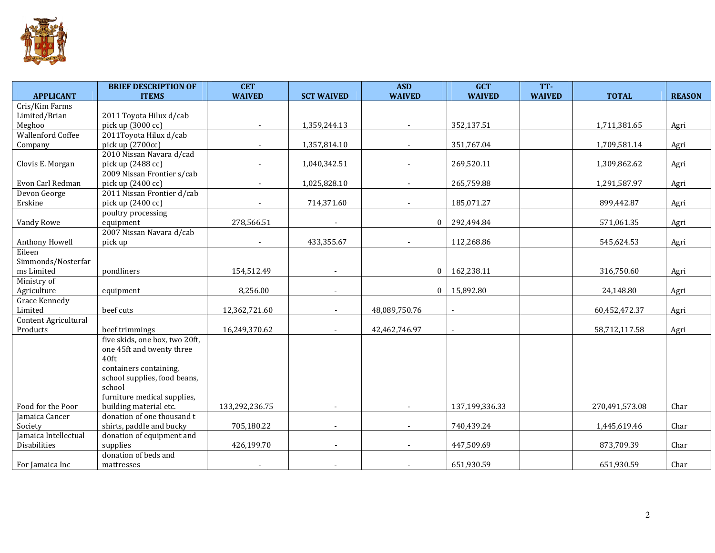

|                          | <b>BRIEF DESCRIPTION OF</b>    | <b>CET</b>               |                   | <b>ASD</b>    | <b>GCT</b>     | TT-           |                |               |
|--------------------------|--------------------------------|--------------------------|-------------------|---------------|----------------|---------------|----------------|---------------|
| <b>APPLICANT</b>         | <b>ITEMS</b>                   | <b>WAIVED</b>            | <b>SCT WAIVED</b> | <b>WAIVED</b> | <b>WAIVED</b>  | <b>WAIVED</b> | <b>TOTAL</b>   | <b>REASON</b> |
| Cris/Kim Farms           |                                |                          |                   |               |                |               |                |               |
| Limited/Brian            | 2011 Toyota Hilux d/cab        |                          |                   |               |                |               |                |               |
| Meghoo                   | pick up (3000 cc)              |                          | 1,359,244.13      |               | 352,137.51     |               | 1,711,381.65   | Agri          |
| <b>Wallenford Coffee</b> | 2011Toyota Hilux d/cab         |                          |                   |               |                |               |                |               |
| Company                  | pick up (2700cc)               |                          | 1,357,814.10      |               | 351,767.04     |               | 1,709,581.14   | Agri          |
|                          | 2010 Nissan Navara d/cad       |                          |                   |               |                |               |                |               |
| Clovis E. Morgan         | pick up (2488 cc)              |                          | 1,040,342.51      |               | 269,520.11     |               | 1,309,862.62   | Agri          |
|                          | 2009 Nissan Frontier s/cab     |                          |                   |               |                |               |                |               |
| Evon Carl Redman         | pick up (2400 cc)              | $\overline{\phantom{a}}$ | 1,025,828.10      |               | 265,759.88     |               | 1,291,587.97   | Agri          |
| Devon George             | 2011 Nissan Frontier d/cab     |                          |                   |               |                |               |                |               |
| Erskine                  | pick up (2400 cc)              |                          | 714,371.60        |               | 185,071.27     |               | 899,442.87     | Agri          |
|                          | poultry processing             |                          |                   |               |                |               |                |               |
| Vandy Rowe               | equipment                      | 278,566.51               |                   | $\Omega$      | 292,494.84     |               | 571,061.35     | Agri          |
|                          | 2007 Nissan Navara d/cab       |                          |                   |               |                |               |                |               |
| Anthony Howell           | pick up                        |                          | 433,355.67        |               | 112,268.86     |               | 545,624.53     | Agri          |
| Eileen                   |                                |                          |                   |               |                |               |                |               |
| Simmonds/Nosterfar       |                                |                          |                   |               |                |               |                |               |
| ms Limited               | pondliners                     | 154,512.49               | $\blacksquare$    | $\mathbf{0}$  | 162,238.11     |               | 316,750.60     | Agri          |
| Ministry of              |                                |                          |                   |               |                |               |                |               |
| Agriculture              | equipment                      | 8,256.00                 |                   | $\mathbf{0}$  | 15,892.80      |               | 24,148.80      | Agri          |
| Grace Kennedy            |                                |                          |                   |               |                |               |                |               |
| Limited                  | beef cuts                      | 12,362,721.60            |                   | 48,089,750.76 |                |               | 60,452,472.37  | Agri          |
| Content Agricultural     |                                |                          |                   |               |                |               |                |               |
| Products                 | beef trimmings                 | 16,249,370.62            |                   | 42,462,746.97 |                |               | 58,712,117.58  | Agri          |
|                          | five skids, one box, two 20ft, |                          |                   |               |                |               |                |               |
|                          | one 45ft and twenty three      |                          |                   |               |                |               |                |               |
|                          | 40 <sub>ft</sub>               |                          |                   |               |                |               |                |               |
|                          | containers containing,         |                          |                   |               |                |               |                |               |
|                          | school supplies, food beans,   |                          |                   |               |                |               |                |               |
|                          | school                         |                          |                   |               |                |               |                |               |
|                          | furniture medical supplies,    |                          |                   |               |                |               |                |               |
| Food for the Poor        | building material etc.         | 133,292,236.75           | $\blacksquare$    |               | 137,199,336.33 |               | 270,491,573.08 | Char          |
| Jamaica Cancer           | donation of one thousand t     |                          |                   |               |                |               |                |               |
| Society                  | shirts, paddle and bucky       | 705,180.22               |                   |               | 740,439.24     |               | 1,445,619.46   | Char          |
| Jamaica Intellectual     | donation of equipment and      |                          |                   |               |                |               |                |               |
| Disabilities             | supplies                       | 426,199.70               |                   |               | 447,509.69     |               | 873,709.39     | Char          |
|                          | donation of beds and           |                          |                   |               |                |               |                |               |
| For Jamaica Inc          | mattresses                     |                          |                   |               | 651,930.59     |               | 651,930.59     | Char          |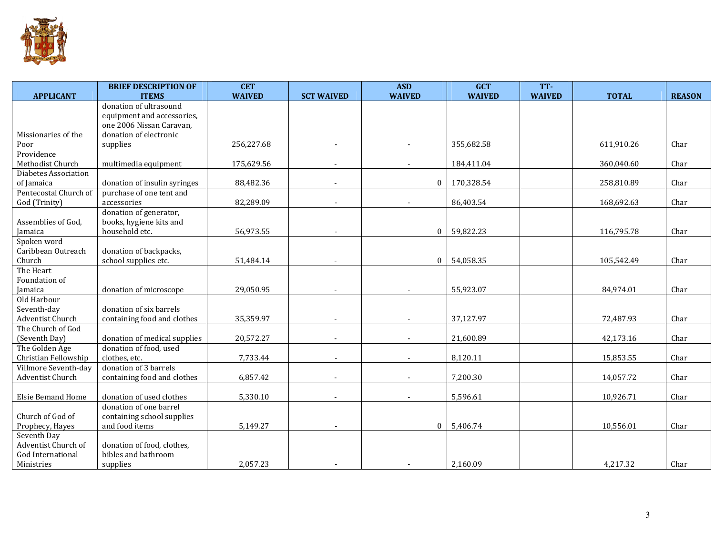

| <b>APPLICANT</b>                     | <b>BRIEF DESCRIPTION OF</b><br><b>ITEMS</b> | <b>CET</b><br><b>WAIVED</b> | <b>SCT WAIVED</b>        | <b>ASD</b><br><b>WAIVED</b> | <b>GCT</b><br><b>WAIVED</b> | TT-<br><b>WAIVED</b> | <b>TOTAL</b> | <b>REASON</b> |
|--------------------------------------|---------------------------------------------|-----------------------------|--------------------------|-----------------------------|-----------------------------|----------------------|--------------|---------------|
|                                      | donation of ultrasound                      |                             |                          |                             |                             |                      |              |               |
|                                      | equipment and accessories,                  |                             |                          |                             |                             |                      |              |               |
|                                      | one 2006 Nissan Caravan,                    |                             |                          |                             |                             |                      |              |               |
| Missionaries of the                  | donation of electronic                      |                             |                          |                             |                             |                      |              |               |
| Poor                                 | supplies                                    | 256,227.68                  |                          |                             | 355,682.58                  |                      | 611,910.26   | Char          |
| Providence                           |                                             |                             |                          |                             |                             |                      |              |               |
| Methodist Church                     | multimedia equipment                        | 175,629.56                  |                          |                             | 184,411.04                  |                      | 360,040.60   | Char          |
| Diabetes Association                 |                                             |                             |                          |                             |                             |                      |              |               |
| of Jamaica                           | donation of insulin syringes                | 88,482.36                   | $\overline{\phantom{a}}$ | $\Omega$                    | 170,328.54                  |                      | 258,810.89   | Char          |
| Pentecostal Church of                | purchase of one tent and                    |                             |                          |                             |                             |                      |              |               |
| God (Trinity)                        | accessories                                 | 82,289.09                   |                          |                             | 86,403.54                   |                      | 168,692.63   | Char          |
|                                      | donation of generator,                      |                             |                          |                             |                             |                      |              |               |
| Assemblies of God,<br><b>Jamaica</b> | books, hygiene kits and<br>household etc.   | 56,973.55                   |                          | $\Omega$                    | 59,822.23                   |                      | 116,795.78   | Char          |
| Spoken word                          |                                             |                             |                          |                             |                             |                      |              |               |
| Caribbean Outreach                   | donation of backpacks,                      |                             |                          |                             |                             |                      |              |               |
| Church                               | school supplies etc.                        | 51,484.14                   |                          | $\Omega$                    | 54,058.35                   |                      | 105,542.49   | Char          |
| The Heart                            |                                             |                             |                          |                             |                             |                      |              |               |
| Foundation of                        |                                             |                             |                          |                             |                             |                      |              |               |
| Jamaica                              | donation of microscope                      | 29,050.95                   |                          |                             | 55,923.07                   |                      | 84,974.01    | Char          |
| Old Harbour                          |                                             |                             |                          |                             |                             |                      |              |               |
| Seventh-day                          | donation of six barrels                     |                             |                          |                             |                             |                      |              |               |
| Adventist Church                     | containing food and clothes                 | 35,359.97                   |                          |                             | 37,127.97                   |                      | 72,487.93    | Char          |
| The Church of God                    |                                             |                             |                          |                             |                             |                      |              |               |
| (Seventh Day)                        | donation of medical supplies                | 20,572.27                   | $\overline{\phantom{a}}$ |                             | 21,600.89                   |                      | 42,173.16    | Char          |
| The Golden Age                       | donation of food, used                      |                             |                          |                             |                             |                      |              |               |
| Christian Fellowship                 | clothes, etc.                               | 7,733.44                    |                          |                             | 8,120.11                    |                      | 15,853.55    | Char          |
| Villmore Seventh-day                 | donation of 3 barrels                       |                             |                          |                             |                             |                      |              |               |
| Adventist Church                     | containing food and clothes                 | 6,857.42                    |                          |                             | 7,200.30                    |                      | 14,057.72    | Char          |
| <b>Elsie Bemand Home</b>             | donation of used clothes                    | 5,330.10                    |                          |                             | 5,596.61                    |                      | 10,926.71    | Char          |
|                                      | donation of one barrel                      |                             |                          |                             |                             |                      |              |               |
| Church of God of                     | containing school supplies                  |                             |                          |                             |                             |                      |              |               |
| Prophecy, Hayes                      | and food items                              | 5,149.27                    | $\overline{\phantom{a}}$ | $\Omega$                    | 5,406.74                    |                      | 10,556.01    | Char          |
| Seventh Day                          |                                             |                             |                          |                             |                             |                      |              |               |
| Adventist Church of                  | donation of food, clothes,                  |                             |                          |                             |                             |                      |              |               |
| God International                    | bibles and bathroom                         |                             |                          |                             |                             |                      |              |               |
| Ministries                           | supplies                                    | 2,057.23                    |                          |                             | 2,160.09                    |                      | 4,217.32     | Char          |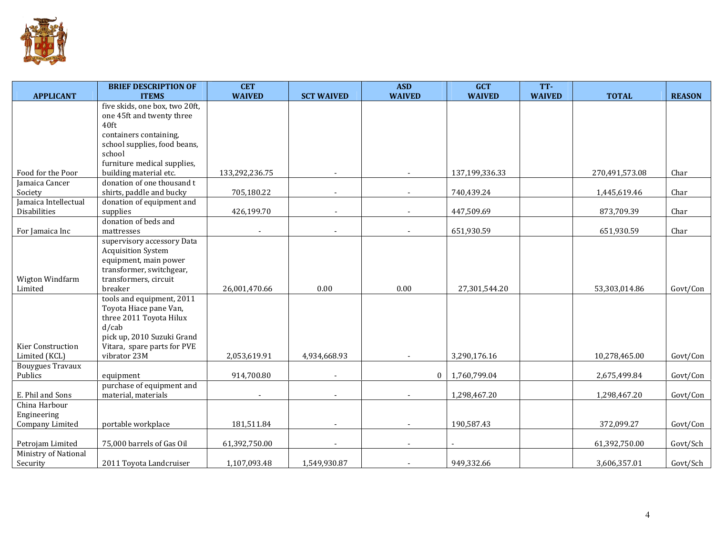

|                         | <b>BRIEF DESCRIPTION OF</b>      | <b>CET</b>     |                   | <b>ASD</b>    | <b>GCT</b>     | TT-           |                |               |
|-------------------------|----------------------------------|----------------|-------------------|---------------|----------------|---------------|----------------|---------------|
| <b>APPLICANT</b>        | <b>ITEMS</b>                     | <b>WAIVED</b>  | <b>SCT WAIVED</b> | <b>WAIVED</b> | <b>WAIVED</b>  | <b>WAIVED</b> | <b>TOTAL</b>   | <b>REASON</b> |
|                         | five skids, one box, two 20ft,   |                |                   |               |                |               |                |               |
|                         | one 45ft and twenty three        |                |                   |               |                |               |                |               |
|                         | 40 <sub>ft</sub>                 |                |                   |               |                |               |                |               |
|                         | containers containing,           |                |                   |               |                |               |                |               |
|                         | school supplies, food beans,     |                |                   |               |                |               |                |               |
|                         | school                           |                |                   |               |                |               |                |               |
|                         | furniture medical supplies,      |                |                   |               |                |               |                |               |
| Food for the Poor       | building material etc.           | 133,292,236.75 |                   |               | 137,199,336.33 |               | 270,491,573.08 | Char          |
| Jamaica Cancer          | donation of one thousand t       |                |                   |               |                |               |                |               |
| Society                 | shirts, paddle and bucky         | 705,180.22     |                   |               | 740,439.24     |               | 1,445,619.46   | Char          |
| Jamaica Intellectual    | donation of equipment and        |                |                   |               |                |               |                |               |
| Disabilities            | supplies<br>donation of beds and | 426,199.70     |                   |               | 447,509.69     |               | 873,709.39     | Char          |
|                         | mattresses                       |                |                   |               | 651,930.59     |               | 651,930.59     | Char          |
| For Jamaica Inc         | supervisory accessory Data       |                |                   |               |                |               |                |               |
|                         | <b>Acquisition System</b>        |                |                   |               |                |               |                |               |
|                         | equipment, main power            |                |                   |               |                |               |                |               |
|                         | transformer, switchgear,         |                |                   |               |                |               |                |               |
| Wigton Windfarm         | transformers, circuit            |                |                   |               |                |               |                |               |
| Limited                 | breaker                          | 26,001,470.66  | 0.00              | 0.00          | 27,301,544.20  |               | 53,303,014.86  | Govt/Con      |
|                         | tools and equipment, 2011        |                |                   |               |                |               |                |               |
|                         | Toyota Hiace pane Van,           |                |                   |               |                |               |                |               |
|                         | three 2011 Toyota Hilux          |                |                   |               |                |               |                |               |
|                         | $d$ /cab                         |                |                   |               |                |               |                |               |
|                         | pick up, 2010 Suzuki Grand       |                |                   |               |                |               |                |               |
| Kier Construction       | Vitara, spare parts for PVE      |                |                   |               |                |               |                |               |
| Limited (KCL)           | vibrator 23M                     | 2,053,619.91   | 4,934,668.93      |               | 3,290,176.16   |               | 10,278,465.00  | Govt/Con      |
| <b>Bouygues Travaux</b> |                                  |                |                   |               |                |               |                |               |
| Publics                 | equipment                        | 914,700.80     |                   | $\theta$      | 1,760,799.04   |               | 2,675,499.84   | Govt/Con      |
|                         | purchase of equipment and        |                |                   |               |                |               |                |               |
| E. Phil and Sons        | material, materials              |                |                   |               | 1,298,467.20   |               | 1,298,467.20   | Govt/Con      |
| China Harbour           |                                  |                |                   |               |                |               |                |               |
| Engineering             |                                  |                |                   |               |                |               |                |               |
| Company Limited         | portable workplace               | 181,511.84     |                   |               | 190,587.43     |               | 372,099.27     | Govt/Con      |
|                         |                                  |                |                   |               |                |               |                |               |
| Petrojam Limited        | 75,000 barrels of Gas Oil        | 61,392,750.00  |                   |               |                |               | 61,392,750.00  | Govt/Sch      |
| Ministry of National    |                                  |                |                   |               |                |               |                |               |
| Security                | 2011 Toyota Landcruiser          | 1,107,093.48   | 1,549,930.87      |               | 949,332.66     |               | 3,606,357.01   | Govt/Sch      |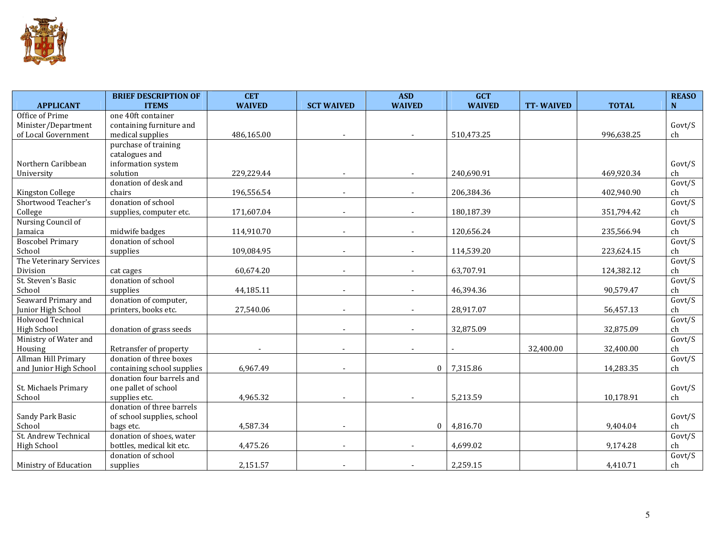

|                         | <b>BRIEF DESCRIPTION OF</b> | <b>CET</b>    |                          | <b>ASD</b>    | <b>GCT</b>    |                  |              | <b>REASO</b>            |
|-------------------------|-----------------------------|---------------|--------------------------|---------------|---------------|------------------|--------------|-------------------------|
| <b>APPLICANT</b>        | <b>ITEMS</b>                | <b>WAIVED</b> | <b>SCT WAIVED</b>        | <b>WAIVED</b> | <b>WAIVED</b> | <b>TT-WAIVED</b> | <b>TOTAL</b> | $\overline{\mathbf{N}}$ |
| Office of Prime         | one 40ft container          |               |                          |               |               |                  |              |                         |
| Minister/Department     | containing furniture and    |               |                          |               |               |                  |              | Govt/S                  |
| of Local Government     | medical supplies            | 486,165.00    | $\blacksquare$           |               | 510,473.25    |                  | 996,638.25   | ch                      |
|                         | purchase of training        |               |                          |               |               |                  |              |                         |
|                         | catalogues and              |               |                          |               |               |                  |              |                         |
| Northern Caribbean      | information system          |               |                          |               |               |                  |              | Govt/S                  |
| University              | solution                    | 229,229.44    |                          |               | 240,690.91    |                  | 469,920.34   | ch                      |
|                         | donation of desk and        |               |                          |               |               |                  |              | Govt/S                  |
| Kingston College        | chairs                      | 196,556.54    | $\blacksquare$           |               | 206,384.36    |                  | 402,940.90   | ch                      |
| Shortwood Teacher's     | donation of school          |               |                          |               |               |                  |              | Govt/S                  |
| College                 | supplies, computer etc.     | 171,607.04    |                          |               | 180,187.39    |                  | 351,794.42   | ch                      |
| Nursing Council of      |                             |               |                          |               |               |                  |              | Govt/S                  |
| Jamaica                 | midwife badges              | 114,910.70    |                          |               | 120,656.24    |                  | 235,566.94   | ch                      |
| <b>Boscobel Primary</b> | donation of school          |               |                          |               |               |                  |              | Govt/S                  |
| School                  | supplies                    | 109,084.95    | $\overline{\phantom{a}}$ |               | 114,539.20    |                  | 223,624.15   | ch                      |
| The Veterinary Services |                             |               |                          |               |               |                  |              | Govt/S                  |
| Division                | cat cages                   | 60,674.20     | $\overline{\phantom{a}}$ |               | 63,707.91     |                  | 124,382.12   | ch                      |
| St. Steven's Basic      | donation of school          |               |                          |               |               |                  |              | Govt/S                  |
| School                  | supplies                    | 44,185.11     | $\blacksquare$           |               | 46,394.36     |                  | 90,579.47    | ch                      |
| Seaward Primary and     | donation of computer,       |               |                          |               |               |                  |              | Govt/S                  |
| Junior High School      | printers, books etc.        | 27,540.06     |                          |               | 28,917.07     |                  | 56,457.13    | ch                      |
| Holwood Technical       |                             |               |                          |               |               |                  |              | Govt/S                  |
| <b>High School</b>      | donation of grass seeds     |               |                          |               | 32,875.09     |                  | 32,875.09    | ch                      |
| Ministry of Water and   |                             |               |                          |               |               |                  |              | Govt/S                  |
| Housing                 | Retransfer of property      |               |                          |               |               | 32,400.00        | 32,400.00    | ch                      |
| Allman Hill Primary     | donation of three boxes     |               |                          |               |               |                  |              | Govt/S                  |
| and Junior High School  | containing school supplies  | 6,967.49      |                          | $\mathbf{0}$  | 7,315.86      |                  | 14,283.35    | ch                      |
|                         | donation four barrels and   |               |                          |               |               |                  |              |                         |
| St. Michaels Primary    | one pallet of school        |               |                          |               |               |                  |              | Govt/S                  |
| School                  | supplies etc.               | 4,965.32      | $\blacksquare$           |               | 5,213.59      |                  | 10,178.91    | ch                      |
|                         | donation of three barrels   |               |                          |               |               |                  |              |                         |
| Sandy Park Basic        | of school supplies, school  |               |                          |               |               |                  |              | Govt/S                  |
| School                  | bags etc.                   | 4,587.34      |                          | $\mathbf{0}$  | 4,816.70      |                  | 9,404.04     | ch                      |
| St. Andrew Technical    | donation of shoes, water    |               |                          |               |               |                  |              | Govt/S                  |
| <b>High School</b>      | bottles, medical kit etc.   | 4,475.26      | $\overline{\phantom{a}}$ |               | 4,699.02      |                  | 9,174.28     | ch                      |
|                         | donation of school          |               |                          |               |               |                  |              | Govt/S                  |
| Ministry of Education   | supplies                    | 2,151.57      |                          |               | 2,259.15      |                  | 4,410.71     | ch                      |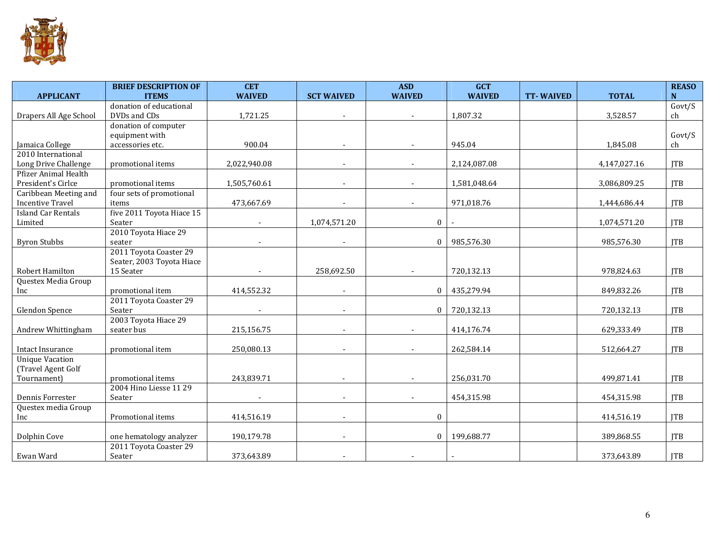

|                             | <b>BRIEF DESCRIPTION OF</b> | <b>CET</b>    |                          | <b>ASD</b>    | <b>GCT</b>    |                  |              | <b>REASO</b>            |
|-----------------------------|-----------------------------|---------------|--------------------------|---------------|---------------|------------------|--------------|-------------------------|
| <b>APPLICANT</b>            | <b>ITEMS</b>                | <b>WAIVED</b> | <b>SCT WAIVED</b>        | <b>WAIVED</b> | <b>WAIVED</b> | <b>TT-WAIVED</b> | <b>TOTAL</b> | $\overline{\mathbf{N}}$ |
|                             | donation of educational     |               |                          |               |               |                  |              | Govt/S                  |
| Drapers All Age School      | DVDs and CDs                | 1,721.25      |                          | $\sim$        | 1,807.32      |                  | 3,528.57     | ch                      |
|                             | donation of computer        |               |                          |               |               |                  |              |                         |
|                             | equipment with              |               |                          |               |               |                  |              | Govt/S                  |
| Jamaica College             | accessories etc.            | 900.04        |                          |               | 945.04        |                  | 1,845.08     | ch                      |
| 2010 International          |                             |               |                          |               |               |                  |              |                         |
| Long Drive Challenge        | promotional items           | 2,022,940.08  |                          |               | 2,124,087.08  |                  | 4,147,027.16 | <b>ITB</b>              |
| <b>Pfizer Animal Health</b> |                             |               |                          |               |               |                  |              |                         |
| President's Cirlce          | promotional items           | 1,505,760.61  |                          |               | 1,581,048.64  |                  | 3,086,809.25 | <b>ITB</b>              |
| Caribbean Meeting and       | four sets of promotional    |               |                          |               |               |                  |              |                         |
| <b>Incentive Travel</b>     | items                       | 473,667.69    |                          |               | 971,018.76    |                  | 1,444,686.44 | <b>ITB</b>              |
| <b>Island Car Rentals</b>   | five 2011 Toyota Hiace 15   |               |                          |               |               |                  |              |                         |
| Limited                     | Seater                      |               | 1,074,571.20             | $\bf{0}$      |               |                  | 1,074,571.20 | <b>ITB</b>              |
|                             | 2010 Toyota Hiace 29        |               |                          |               |               |                  |              |                         |
| <b>Byron Stubbs</b>         | seater                      |               | $\overline{\phantom{a}}$ | $\mathbf{0}$  | 985,576.30    |                  | 985,576.30   | <b>JTB</b>              |
|                             | 2011 Toyota Coaster 29      |               |                          |               |               |                  |              |                         |
|                             | Seater, 2003 Toyota Hiace   |               |                          |               |               |                  |              |                         |
| Robert Hamilton             | 15 Seater                   |               | 258,692.50               |               | 720,132.13    |                  | 978,824.63   | <b>ITB</b>              |
| Questex Media Group         |                             |               |                          |               |               |                  |              |                         |
| Inc                         | promotional item            | 414,552.32    |                          | $\mathbf{0}$  | 435,279.94    |                  | 849,832.26   | <b>ITB</b>              |
|                             | 2011 Toyota Coaster 29      |               |                          |               |               |                  |              |                         |
| Glendon Spence              | Seater                      |               |                          | $\mathbf{0}$  | 720,132.13    |                  | 720,132.13   | <b>ITB</b>              |
|                             | 2003 Toyota Hiace 29        |               |                          |               |               |                  |              |                         |
| Andrew Whittingham          | seater bus                  | 215,156.75    |                          |               | 414,176.74    |                  | 629,333.49   | <b>ITB</b>              |
|                             |                             |               |                          |               |               |                  |              |                         |
| Intact Insurance            | promotional item            | 250,080.13    |                          |               | 262,584.14    |                  | 512,664.27   | <b>ITB</b>              |
| <b>Unique Vacation</b>      |                             |               |                          |               |               |                  |              |                         |
| (Travel Agent Golf          |                             |               |                          |               |               |                  |              |                         |
| Tournament)                 | promotional items           | 243,839.71    | $\overline{\phantom{a}}$ |               | 256,031.70    |                  | 499,871.41   | <b>ITB</b>              |
|                             | 2004 Hino Liesse 11 29      |               |                          |               |               |                  |              |                         |
| Dennis Forrester            | Seater                      |               | $\overline{\phantom{a}}$ |               | 454,315.98    |                  | 454,315.98   | <b>ITB</b>              |
| Questex media Group         |                             |               |                          |               |               |                  |              |                         |
| Inc                         | Promotional items           | 414,516.19    | $\blacksquare$           | $\mathbf{0}$  |               |                  | 414,516.19   | <b>ITB</b>              |
|                             |                             |               |                          |               |               |                  |              |                         |
| Dolphin Cove                | one hematology analyzer     | 190,179.78    | $\overline{\phantom{a}}$ | $\mathbf{0}$  | 199,688.77    |                  | 389,868.55   | <b>ITB</b>              |
|                             | 2011 Toyota Coaster 29      |               |                          |               |               |                  |              |                         |
| Ewan Ward                   | Seater                      | 373,643.89    |                          |               |               |                  | 373,643.89   | <b>JTB</b>              |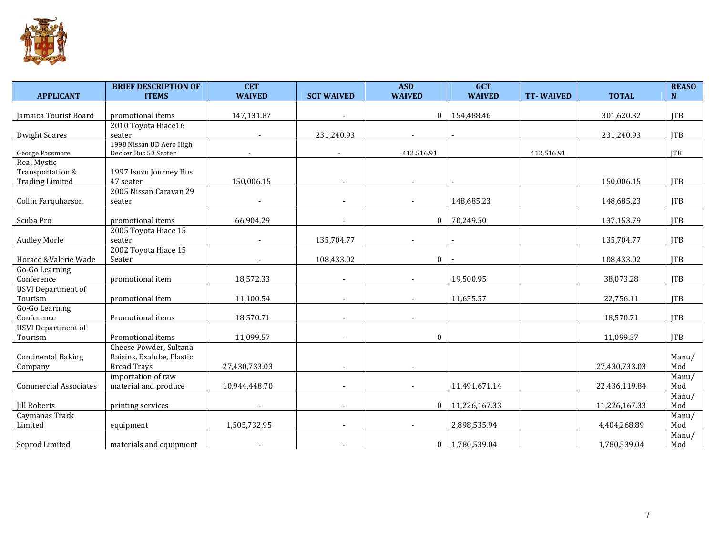

| <b>APPLICANT</b>             | <b>BRIEF DESCRIPTION OF</b><br><b>ITEMS</b>      | <b>CET</b><br><b>WAIVED</b> | <b>SCT WAIVED</b>        | <b>ASD</b><br><b>WAIVED</b> | <b>GCT</b><br><b>WAIVED</b> | <b>TT-WAIVED</b> | <b>TOTAL</b>  | <b>REASO</b><br>N |
|------------------------------|--------------------------------------------------|-----------------------------|--------------------------|-----------------------------|-----------------------------|------------------|---------------|-------------------|
|                              |                                                  |                             |                          |                             |                             |                  |               |                   |
| Jamaica Tourist Board        | promotional items                                | 147,131.87                  |                          | $\bf{0}$                    | 154,488.46                  |                  | 301,620.32    | <b>ITB</b>        |
|                              | 2010 Toyota Hiace16                              |                             |                          |                             |                             |                  |               |                   |
| <b>Dwight Soares</b>         | seater                                           |                             | 231,240.93               |                             |                             |                  | 231,240.93    | <b>ITB</b>        |
| George Passmore              | 1998 Nissan UD Aero High<br>Decker Bus 53 Seater |                             | $\overline{\phantom{a}}$ | 412,516.91                  |                             | 412,516.91       |               | JTB               |
| Real Mystic                  |                                                  |                             |                          |                             |                             |                  |               |                   |
| Transportation &             | 1997 Isuzu Journey Bus                           |                             |                          |                             |                             |                  |               |                   |
| <b>Trading Limited</b>       | 47 seater                                        | 150,006.15                  |                          |                             |                             |                  | 150,006.15    | <b>ITB</b>        |
|                              | 2005 Nissan Caravan 29                           |                             |                          |                             |                             |                  |               |                   |
| Collin Farquharson           | seater                                           |                             |                          |                             | 148,685.23                  |                  | 148,685.23    | <b>ITB</b>        |
|                              |                                                  |                             |                          |                             |                             |                  |               |                   |
| Scuba Pro                    | promotional items                                | 66,904.29                   |                          | $\mathbf{0}$                | 70,249.50                   |                  | 137,153.79    | <b>ITB</b>        |
| <b>Audley Morle</b>          | 2005 Toyota Hiace 15<br>seater                   |                             | 135,704.77               |                             |                             |                  | 135,704.77    | <b>ITB</b>        |
|                              | 2002 Toyota Hiace 15                             |                             |                          |                             |                             |                  |               |                   |
| Horace &Valerie Wade         | Seater                                           |                             | 108,433.02               | $\mathbf{0}$                |                             |                  | 108,433.02    | <b>ITB</b>        |
| Go-Go Learning               |                                                  |                             |                          |                             |                             |                  |               |                   |
| Conference                   | promotional item                                 | 18,572.33                   | $\blacksquare$           |                             | 19,500.95                   |                  | 38,073.28     | <b>ITB</b>        |
| <b>USVI</b> Department of    |                                                  |                             |                          |                             |                             |                  |               |                   |
| Tourism                      | promotional item                                 | 11,100.54                   | $\blacksquare$           |                             | 11,655.57                   |                  | 22,756.11     | <b>ITB</b>        |
| Go-Go Learning               |                                                  |                             |                          |                             |                             |                  |               |                   |
| Conference                   | Promotional items                                | 18,570.71                   |                          |                             |                             |                  | 18,570.71     | <b>ITB</b>        |
| <b>USVI</b> Department of    |                                                  |                             |                          |                             |                             |                  |               | <b>ITB</b>        |
| Tourism                      | Promotional items<br>Cheese Powder, Sultana      | 11,099.57                   |                          | $\mathbf{0}$                |                             |                  | 11,099.57     |                   |
| <b>Continental Baking</b>    | Raisins, Exalube, Plastic                        |                             |                          |                             |                             |                  |               | Manu/             |
| Company                      | <b>Bread Trays</b>                               | 27,430,733.03               | $\blacksquare$           |                             |                             |                  | 27,430,733.03 | Mod               |
|                              | importation of raw                               |                             |                          |                             |                             |                  |               | Manu/             |
| <b>Commercial Associates</b> | material and produce                             | 10,944,448.70               | $\overline{\phantom{a}}$ |                             | 11,491,671.14               |                  | 22,436,119.84 | Mod               |
|                              |                                                  |                             |                          |                             |                             |                  |               | Manu/             |
| <b>Jill Roberts</b>          | printing services                                |                             | $\overline{\phantom{a}}$ | $\mathbf{0}$                | 11,226,167.33               |                  | 11,226,167.33 | Mod               |
| Caymanas Track               |                                                  |                             |                          |                             |                             |                  |               | Manu/             |
| Limited                      | equipment                                        | 1,505,732.95                | $\overline{\phantom{a}}$ |                             | 2,898,535.94                |                  | 4,404,268.89  | Mod               |
|                              |                                                  |                             |                          |                             |                             |                  |               | Manu/             |
| Seprod Limited               | materials and equipment                          |                             |                          | $\mathbf{0}$                | 1,780,539.04                |                  | 1,780,539.04  | Mod               |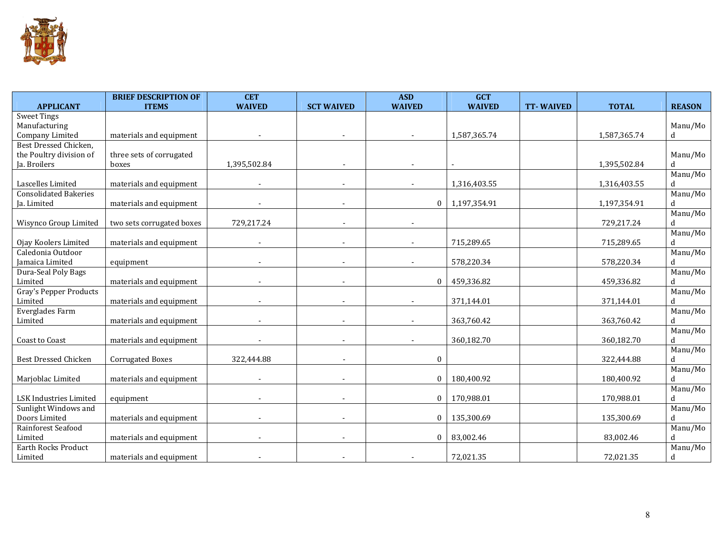

| <b>APPLICANT</b>                         | <b>BRIEF DESCRIPTION OF</b><br><b>ITEMS</b> | <b>CET</b><br><b>WAIVED</b> | <b>SCT WAIVED</b>        | <b>ASD</b><br><b>WAIVED</b> | <b>GCT</b><br><b>WAIVED</b> | <b>TT-WAIVED</b> | <b>TOTAL</b> | <b>REASON</b> |
|------------------------------------------|---------------------------------------------|-----------------------------|--------------------------|-----------------------------|-----------------------------|------------------|--------------|---------------|
| <b>Sweet Tings</b>                       |                                             |                             |                          |                             |                             |                  |              |               |
| Manufacturing                            |                                             |                             |                          |                             |                             |                  |              | Manu/Mo       |
| Company Limited                          | materials and equipment                     |                             |                          |                             | 1,587,365.74                |                  | 1,587,365.74 | d             |
| Best Dressed Chicken,                    |                                             |                             |                          |                             |                             |                  |              |               |
| the Poultry division of                  | three sets of corrugated                    |                             |                          |                             |                             |                  |              | Manu/Mo       |
| Ja. Broilers                             | boxes                                       | 1,395,502.84                |                          |                             |                             |                  | 1,395,502.84 | $\mathbf{d}$  |
|                                          |                                             |                             |                          |                             |                             |                  |              | Manu/Mo       |
| Lascelles Limited                        | materials and equipment                     |                             |                          |                             | 1,316,403.55                |                  | 1,316,403.55 | d             |
| <b>Consolidated Bakeries</b>             |                                             |                             |                          |                             |                             |                  |              | Manu/Mo       |
| Ja. Limited                              | materials and equipment                     |                             | $\overline{\phantom{a}}$ | $\mathbf{0}$                | 1,197,354.91                |                  | 1,197,354.91 | $\mathbf d$   |
|                                          |                                             |                             |                          |                             |                             |                  |              | Manu/Mo       |
| Wisynco Group Limited                    | two sets corrugated boxes                   | 729,217.24                  | $\blacksquare$           | $\overline{\phantom{a}}$    |                             |                  | 729,217.24   | d             |
|                                          |                                             |                             |                          |                             |                             |                  |              | Manu/Mo       |
| Ojay Koolers Limited                     | materials and equipment                     | $\overline{\phantom{a}}$    | $\sim$                   | $\overline{\phantom{a}}$    | 715,289.65                  |                  | 715,289.65   | d             |
| Caledonia Outdoor                        |                                             |                             |                          |                             |                             |                  |              | Manu/Mo       |
| Jamaica Limited                          | equipment                                   |                             |                          |                             | 578,220.34                  |                  | 578,220.34   | d             |
| Dura-Seal Poly Bags                      |                                             |                             |                          | $\mathbf{0}$                | 459,336.82                  |                  |              | Manu/Mo<br>d  |
| Limited<br><b>Gray's Pepper Products</b> | materials and equipment                     |                             |                          |                             |                             |                  | 459,336.82   | Manu/Mo       |
| Limited                                  | materials and equipment                     |                             |                          |                             | 371,144.01                  |                  | 371,144.01   | d             |
| Everglades Farm                          |                                             |                             |                          |                             |                             |                  |              | Manu/Mo       |
| Limited                                  | materials and equipment                     |                             |                          |                             | 363,760.42                  |                  | 363,760.42   | d             |
|                                          |                                             |                             |                          |                             |                             |                  |              | Manu/Mo       |
| Coast to Coast                           | materials and equipment                     |                             |                          |                             | 360,182.70                  |                  | 360,182.70   | d             |
|                                          |                                             |                             |                          |                             |                             |                  |              | Manu/Mo       |
| <b>Best Dressed Chicken</b>              | Corrugated Boxes                            | 322,444.88                  |                          | $\boldsymbol{0}$            |                             |                  | 322,444.88   | d             |
|                                          |                                             |                             |                          |                             |                             |                  |              | Manu/Mo       |
| Marjoblac Limited                        | materials and equipment                     |                             |                          | $\mathbf{0}$                | 180,400.92                  |                  | 180,400.92   | d             |
|                                          |                                             |                             |                          |                             |                             |                  |              | Manu/Mo       |
| LSK Industries Limited                   | equipment                                   |                             | $\overline{\phantom{a}}$ | $\bf{0}$                    | 170,988.01                  |                  | 170,988.01   | d             |
| Sunlight Windows and                     |                                             |                             |                          |                             |                             |                  |              | Manu/Mo       |
| Doors Limited                            | materials and equipment                     |                             |                          | $\mathbf{0}$                | 135,300.69                  |                  | 135,300.69   | d.            |
| Rainforest Seafood                       |                                             |                             |                          |                             |                             |                  |              | Manu/Mo       |
| Limited                                  | materials and equipment                     |                             |                          | $\mathbf{0}$                | 83,002.46                   |                  | 83,002.46    | d             |
| <b>Earth Rocks Product</b>               |                                             |                             |                          |                             |                             |                  |              | Manu/Mo       |
| Limited                                  | materials and equipment                     |                             |                          |                             | 72,021.35                   |                  | 72,021.35    | d             |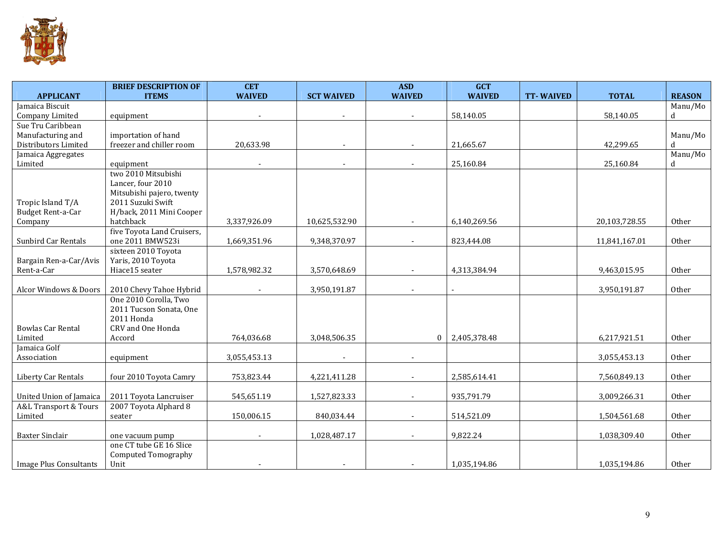

| <b>APPLICANT</b>         | <b>BRIEF DESCRIPTION OF</b><br><b>ITEMS</b> | <b>CET</b><br><b>WAIVED</b> | <b>SCT WAIVED</b> | <b>ASD</b><br><b>WAIVED</b> | <b>GCT</b><br><b>WAIVED</b> | <b>TT-WAIVED</b> | <b>TOTAL</b>  | <b>REASON</b> |
|--------------------------|---------------------------------------------|-----------------------------|-------------------|-----------------------------|-----------------------------|------------------|---------------|---------------|
| Jamaica Biscuit          |                                             |                             |                   |                             |                             |                  |               | Manu/Mo       |
| Company Limited          | equipment                                   |                             |                   |                             | 58,140.05                   |                  | 58,140.05     | d             |
| Sue Tru Caribbean        |                                             |                             |                   |                             |                             |                  |               |               |
| Manufacturing and        | importation of hand                         |                             |                   |                             |                             |                  |               | Manu/Mo       |
| Distributors Limited     | freezer and chiller room                    | 20,633.98                   |                   |                             | 21,665.67                   |                  | 42,299.65     | d             |
| Jamaica Aggregates       |                                             |                             |                   |                             |                             |                  |               | Manu/Mo       |
| Limited                  | equipment                                   |                             |                   |                             | 25,160.84                   |                  | 25,160.84     | d             |
|                          | two 2010 Mitsubishi                         |                             |                   |                             |                             |                  |               |               |
|                          | Lancer, four 2010                           |                             |                   |                             |                             |                  |               |               |
|                          | Mitsubishi pajero, twenty                   |                             |                   |                             |                             |                  |               |               |
| Tropic Island T/A        | 2011 Suzuki Swift                           |                             |                   |                             |                             |                  |               |               |
| Budget Rent-a-Car        | H/back, 2011 Mini Cooper                    |                             |                   |                             |                             |                  |               |               |
| Company                  | hatchback                                   | 3,337,926.09                | 10,625,532.90     |                             | 6,140,269.56                |                  | 20,103,728.55 | Other         |
|                          | five Toyota Land Cruisers,                  |                             |                   |                             |                             |                  |               |               |
| Sunbird Car Rentals      | one 2011 BMW523i                            | 1,669,351.96                | 9,348,370.97      |                             | 823,444.08                  |                  | 11,841,167.01 | Other         |
|                          | sixteen 2010 Toyota                         |                             |                   |                             |                             |                  |               |               |
| Bargain Ren-a-Car/Avis   | Yaris, 2010 Toyota                          |                             |                   |                             |                             |                  |               |               |
| Rent-a-Car               | Hiace15 seater                              | 1,578,982.32                | 3,570,648.69      |                             | 4,313,384.94                |                  | 9,463,015.95  | Other         |
|                          |                                             |                             |                   |                             |                             |                  |               |               |
| Alcor Windows & Doors    | 2010 Chevy Tahoe Hybrid                     |                             | 3,950,191.87      |                             | $\sim$                      |                  | 3,950,191.87  | Other         |
|                          | One 2010 Corolla, Two                       |                             |                   |                             |                             |                  |               |               |
|                          | 2011 Tucson Sonata, One                     |                             |                   |                             |                             |                  |               |               |
|                          | 2011 Honda                                  |                             |                   |                             |                             |                  |               |               |
| <b>Bowlas Car Rental</b> | CRV and One Honda                           |                             |                   |                             |                             |                  |               |               |
| Limited                  | Accord                                      | 764,036.68                  | 3,048,506.35      | $\Omega$                    | 2,405,378.48                |                  | 6,217,921.51  | Other         |
| Jamaica Golf             |                                             |                             |                   |                             |                             |                  |               |               |
| Association              | equipment                                   | 3,055,453.13                |                   |                             |                             |                  | 3,055,453.13  | Other         |
|                          |                                             |                             |                   |                             |                             |                  |               |               |
| Liberty Car Rentals      | four 2010 Toyota Camry                      | 753,823.44                  | 4,221,411.28      |                             | 2,585,614.41                |                  | 7,560,849.13  | Other         |
|                          |                                             |                             |                   |                             |                             |                  |               |               |
| United Union of Jamaica  | 2011 Toyota Lancruiser                      | 545,651.19                  | 1,527,823.33      |                             | 935,791.79                  |                  | 3,009,266.31  | Other         |
| A&L Transport & Tours    | 2007 Toyota Alphard 8                       |                             |                   |                             |                             |                  |               |               |
| Limited                  | seater                                      | 150,006.15                  | 840,034.44        |                             | 514,521.09                  |                  | 1,504,561.68  | Other         |
| <b>Baxter Sinclair</b>   |                                             |                             | 1,028,487.17      |                             | 9,822.24                    |                  | 1,038,309.40  | Other         |
|                          | one vacuum pump<br>one CT tube GE 16 Slice  |                             |                   |                             |                             |                  |               |               |
|                          | <b>Computed Tomography</b>                  |                             |                   |                             |                             |                  |               |               |
| Image Plus Consultants   | Unit                                        |                             |                   |                             | 1,035,194.86                |                  | 1,035,194.86  | Other         |
|                          |                                             |                             |                   |                             |                             |                  |               |               |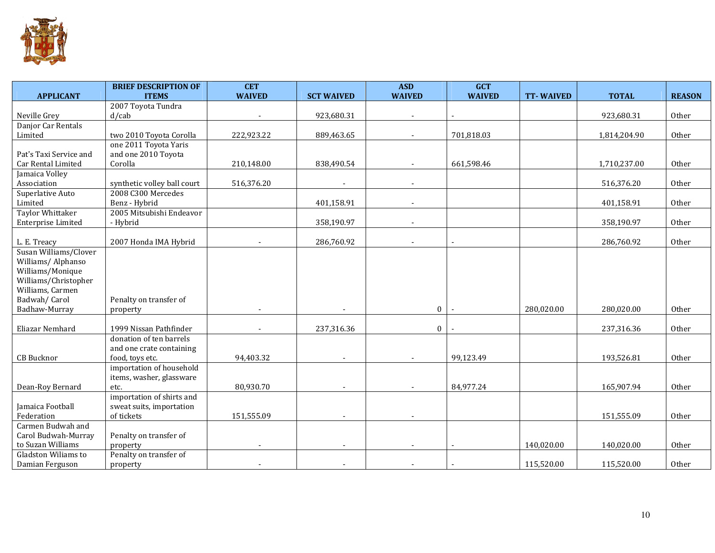

|                         | <b>BRIEF DESCRIPTION OF</b>                 | <b>CET</b>    |                   | <b>ASD</b>               | <b>GCT</b>    |                  |              |               |
|-------------------------|---------------------------------------------|---------------|-------------------|--------------------------|---------------|------------------|--------------|---------------|
| <b>APPLICANT</b>        | <b>ITEMS</b>                                | <b>WAIVED</b> | <b>SCT WAIVED</b> | <b>WAIVED</b>            | <b>WAIVED</b> | <b>TT-WAIVED</b> | <b>TOTAL</b> | <b>REASON</b> |
|                         | 2007 Toyota Tundra                          |               |                   |                          |               |                  |              |               |
| Neville Grey            | $d$ /cab                                    |               | 923,680.31        | $\overline{\phantom{a}}$ |               |                  | 923,680.31   | Other         |
| Danjor Car Rentals      |                                             |               |                   |                          |               |                  |              |               |
| Limited                 | two 2010 Toyota Corolla                     | 222,923.22    | 889,463.65        |                          | 701,818.03    |                  | 1,814,204.90 | Other         |
|                         | one 2011 Toyota Yaris                       |               |                   |                          |               |                  |              |               |
| Pat's Taxi Service and  | and one 2010 Toyota                         |               |                   |                          |               |                  |              |               |
| Car Rental Limited      | Corolla                                     | 210,148.00    | 838,490.54        |                          | 661,598.46    |                  | 1,710,237.00 | Other         |
| Jamaica Volley          |                                             |               |                   |                          |               |                  |              |               |
| Association             | synthetic volley ball court                 | 516,376.20    | $\sim$            | $\sim$                   |               |                  | 516,376.20   | Other         |
| Superlative Auto        | 2008 C300 Mercedes                          |               |                   |                          |               |                  |              |               |
| Limited                 | Benz - Hybrid                               |               | 401,158.91        |                          |               |                  | 401,158.91   | Other         |
| <b>Taylor Whittaker</b> | 2005 Mitsubishi Endeavor                    |               |                   |                          |               |                  |              |               |
| Enterprise Limited      | - Hybrid                                    |               | 358,190.97        |                          |               |                  | 358,190.97   | Other         |
|                         |                                             |               |                   |                          |               |                  |              |               |
| L. E. Treacy            | 2007 Honda IMA Hybrid                       |               | 286,760.92        |                          |               |                  | 286,760.92   | Other         |
| Susan Williams/Clover   |                                             |               |                   |                          |               |                  |              |               |
| Williams/Alphanso       |                                             |               |                   |                          |               |                  |              |               |
| Williams/Monique        |                                             |               |                   |                          |               |                  |              |               |
| Williams/Christopher    |                                             |               |                   |                          |               |                  |              |               |
| Williams, Carmen        |                                             |               |                   |                          |               |                  |              |               |
| Badwah/Carol            | Penalty on transfer of                      |               |                   |                          |               |                  |              |               |
| Badhaw-Murray           | property                                    |               |                   | $\Omega$                 |               | 280,020.00       | 280,020.00   | Other         |
| Eliazar Nemhard         | 1999 Nissan Pathfinder                      |               | 237,316.36        |                          |               |                  |              | Other         |
|                         |                                             |               |                   | $\mathbf{0}$             |               |                  | 237,316.36   |               |
|                         | donation of ten barrels                     |               |                   |                          |               |                  |              |               |
| <b>CB</b> Bucknor       | and one crate containing<br>food, toys etc. | 94,403.32     |                   |                          | 99,123.49     |                  | 193,526.81   | Other         |
|                         | importation of household                    |               |                   |                          |               |                  |              |               |
|                         |                                             |               |                   |                          |               |                  |              |               |
| Dean-Roy Bernard        | items, washer, glassware<br>etc.            | 80,930.70     |                   |                          | 84,977.24     |                  | 165,907.94   | Other         |
|                         | importation of shirts and                   |               |                   |                          |               |                  |              |               |
| Jamaica Football        | sweat suits, importation                    |               |                   |                          |               |                  |              |               |
| Federation              | of tickets                                  | 151,555.09    |                   |                          |               |                  | 151,555.09   | Other         |
| Carmen Budwah and       |                                             |               |                   |                          |               |                  |              |               |
| Carol Budwah-Murray     | Penalty on transfer of                      |               |                   |                          |               |                  |              |               |
| to Suzan Williams       | property                                    |               |                   |                          |               | 140,020.00       | 140,020.00   | Other         |
| Gladston Wiliams to     | Penalty on transfer of                      |               |                   |                          |               |                  |              |               |
| Damian Ferguson         | property                                    |               |                   |                          |               | 115,520.00       | 115,520.00   | Other         |
|                         |                                             |               |                   |                          |               |                  |              |               |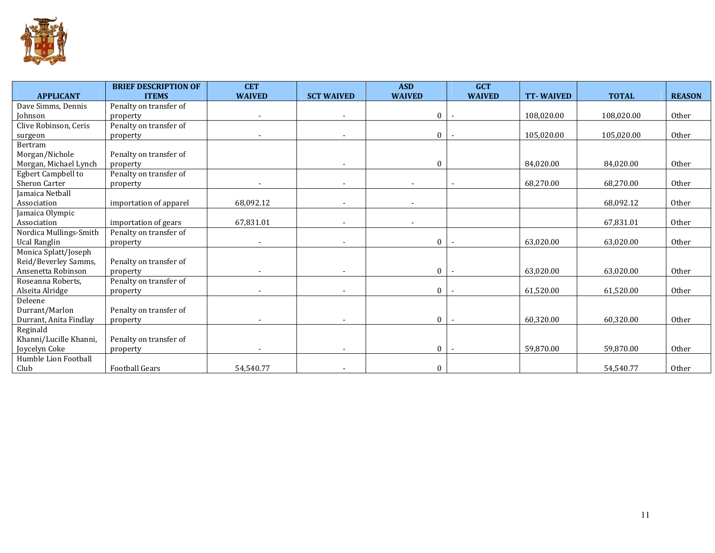

| <b>APPLICANT</b>          | <b>BRIEF DESCRIPTION OF</b><br><b>ITEMS</b> | <b>CET</b><br><b>WAIVED</b> | <b>SCT WAIVED</b>        | <b>ASD</b><br><b>WAIVED</b> | <b>GCT</b><br><b>WAIVED</b> | <b>TT-WAIVED</b> | <b>TOTAL</b> | <b>REASON</b> |
|---------------------------|---------------------------------------------|-----------------------------|--------------------------|-----------------------------|-----------------------------|------------------|--------------|---------------|
| Dave Simms, Dennis        | Penalty on transfer of                      |                             |                          |                             |                             |                  |              |               |
| Johnson                   | property                                    | $\overline{\phantom{a}}$    | $\overline{\phantom{a}}$ | $\theta$                    |                             | 108,020.00       | 108,020.00   | Other         |
| Clive Robinson, Ceris     | Penalty on transfer of                      |                             |                          |                             |                             |                  |              |               |
| surgeon                   | property                                    | $\overline{\phantom{a}}$    | $\overline{\phantom{a}}$ | $\theta$                    |                             | 105,020.00       | 105,020.00   | Other         |
| Bertram                   |                                             |                             |                          |                             |                             |                  |              |               |
| Morgan/Nichole            | Penalty on transfer of                      |                             |                          |                             |                             |                  |              |               |
| Morgan, Michael Lynch     | property                                    |                             |                          | $\theta$                    |                             | 84,020.00        | 84,020.00    | Other         |
| <b>Egbert Campbell to</b> | Penalty on transfer of                      |                             |                          |                             |                             |                  |              |               |
| Sheron Carter             | property                                    |                             |                          |                             |                             | 68,270.00        | 68,270.00    | Other         |
| Jamaica Netball           |                                             |                             |                          |                             |                             |                  |              |               |
| Association               | importation of apparel                      | 68,092.12                   |                          |                             |                             |                  | 68,092.12    | Other         |
| Jamaica Olympic           |                                             |                             |                          |                             |                             |                  |              |               |
| Association               | importation of gears                        | 67,831.01                   |                          |                             |                             |                  | 67,831.01    | Other         |
| Nordica Mullings-Smith    | Penalty on transfer of                      |                             |                          |                             |                             |                  |              |               |
| <b>Ucal Ranglin</b>       | property                                    |                             |                          | $\mathbf{0}$                |                             | 63,020.00        | 63,020.00    | Other         |
| Monica Splatt/Joseph      |                                             |                             |                          |                             |                             |                  |              |               |
| Reid/Beverley Samms,      | Penalty on transfer of                      |                             |                          |                             |                             |                  |              |               |
| Ansenetta Robinson        | property                                    |                             |                          | $\theta$                    |                             | 63,020.00        | 63,020.00    | Other         |
| Roseanna Roberts,         | Penalty on transfer of                      |                             |                          |                             |                             |                  |              |               |
| Alseita Alridge           | property                                    |                             |                          | $\theta$                    |                             | 61,520.00        | 61,520.00    | Other         |
| Deleene<br>Durrant/Marlon | Penalty on transfer of                      |                             |                          |                             |                             |                  |              |               |
| Durrant, Anita Findlay    |                                             |                             |                          | $\mathbf{0}$                |                             | 60,320.00        | 60,320.00    | Other         |
| Reginald                  | property                                    |                             |                          |                             |                             |                  |              |               |
| Khanni/Lucille Khanni,    | Penalty on transfer of                      |                             |                          |                             |                             |                  |              |               |
| Joycelyn Coke             | property                                    |                             | $\overline{\phantom{0}}$ | $\mathbf{0}$                |                             | 59,870.00        | 59.870.00    | Other         |
| Humble Lion Football      |                                             |                             |                          |                             |                             |                  |              |               |
| Club                      | <b>Football Gears</b>                       | 54,540.77                   |                          | $\boldsymbol{0}$            |                             |                  | 54,540.77    | Other         |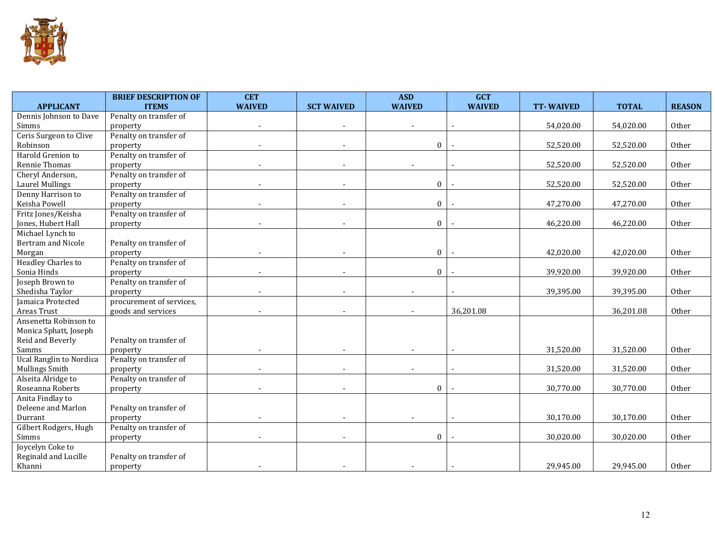

|                                | <b>BRIEF DESCRIPTION OF</b> | <b>CET</b>    |                   | <b>ASD</b>    | <b>GCT</b>    |                  |              |               |
|--------------------------------|-----------------------------|---------------|-------------------|---------------|---------------|------------------|--------------|---------------|
| <b>APPLICANT</b>               | <b>ITEMS</b>                | <b>WAIVED</b> | <b>SCT WAIVED</b> | <b>WAIVED</b> | <b>WAIVED</b> | <b>TT-WAIVED</b> | <b>TOTAL</b> | <b>REASON</b> |
| Dennis Johnson to Dave         | Penalty on transfer of      |               |                   |               |               |                  |              |               |
| Simms                          | property                    |               |                   |               |               | 54,020.00        | 54,020.00    | Other         |
| Ceris Surgeon to Clive         | Penalty on transfer of      |               |                   |               |               |                  |              |               |
| Robinson                       | property                    |               |                   | $\mathbf{0}$  |               | 52,520.00        | 52,520.00    | Other         |
| Harold Grenion to              | Penalty on transfer of      |               |                   |               |               |                  |              |               |
| Rennie Thomas                  | property                    |               |                   |               |               | 52,520.00        | 52,520.00    | Other         |
| Cheryl Anderson,               | Penalty on transfer of      |               |                   |               |               |                  |              |               |
| <b>Laurel Mullings</b>         | property                    |               |                   | $\mathbf{0}$  |               | 52,520.00        | 52,520.00    | Other         |
| Denny Harrison to              | Penalty on transfer of      |               |                   |               |               |                  |              |               |
| Keisha Powell                  | property                    |               |                   | $\mathbf{0}$  |               | 47,270.00        | 47,270.00    | Other         |
| Fritz Jones/Keisha             | Penalty on transfer of      |               |                   |               |               |                  |              |               |
| Jones, Hubert Hall             | property                    |               |                   | $\mathbf{0}$  |               | 46,220.00        | 46,220.00    | Other         |
| Michael Lynch to               |                             |               |                   |               |               |                  |              |               |
| Bertram and Nicole             | Penalty on transfer of      |               |                   |               |               |                  |              |               |
| Morgan                         | property                    |               |                   | $\mathbf{0}$  |               | 42,020.00        | 42,020.00    | Other         |
| <b>Headley Charles to</b>      | Penalty on transfer of      |               |                   |               |               |                  |              |               |
| Sonia Hinds                    | property                    |               |                   | $\mathbf{0}$  |               | 39,920.00        | 39,920.00    | Other         |
| Joseph Brown to                | Penalty on transfer of      |               |                   |               |               |                  |              |               |
| Shedisha Taylor                | property                    |               |                   |               |               | 39,395.00        | 39,395.00    | Other         |
| Jamaica Protected              | procurement of services,    |               |                   |               |               |                  |              |               |
| Areas Trust                    | goods and services          |               |                   |               | 36,201.08     |                  | 36,201.08    | Other         |
| Ansenetta Robinson to          |                             |               |                   |               |               |                  |              |               |
| Monica Sphatt, Joseph          |                             |               |                   |               |               |                  |              |               |
| Reid and Beverly               | Penalty on transfer of      |               |                   |               |               |                  |              |               |
| Samms                          | property                    |               |                   |               |               | 31,520.00        | 31,520.00    | Other         |
| <b>Ucal Ranglin to Nordica</b> | Penalty on transfer of      |               |                   |               |               |                  |              |               |
| Mullings Smith                 | property                    |               |                   |               |               | 31,520.00        | 31,520.00    | Other         |
| Alseita Alridge to             | Penalty on transfer of      |               |                   |               |               |                  |              |               |
| Roseanna Roberts               | property                    |               |                   | $\theta$      |               | 30,770.00        | 30,770.00    | Other         |
| Anita Findlay to               |                             |               |                   |               |               |                  |              |               |
| Deleene and Marlon             | Penalty on transfer of      |               |                   |               |               |                  |              |               |
| Durrant                        | property                    |               |                   |               |               | 30,170.00        | 30,170.00    | Other         |
| Gilbert Rodgers, Hugh          | Penalty on transfer of      |               |                   |               |               |                  |              |               |
| Simms                          | property                    |               |                   | $\Omega$      |               | 30,020.00        | 30,020.00    | Other         |
| Joycelyn Coke to               |                             |               |                   |               |               |                  |              |               |
| Reginald and Lucille           | Penalty on transfer of      |               |                   |               |               |                  |              |               |
| Khanni                         | property                    |               |                   |               |               | 29,945.00        | 29,945.00    | Other         |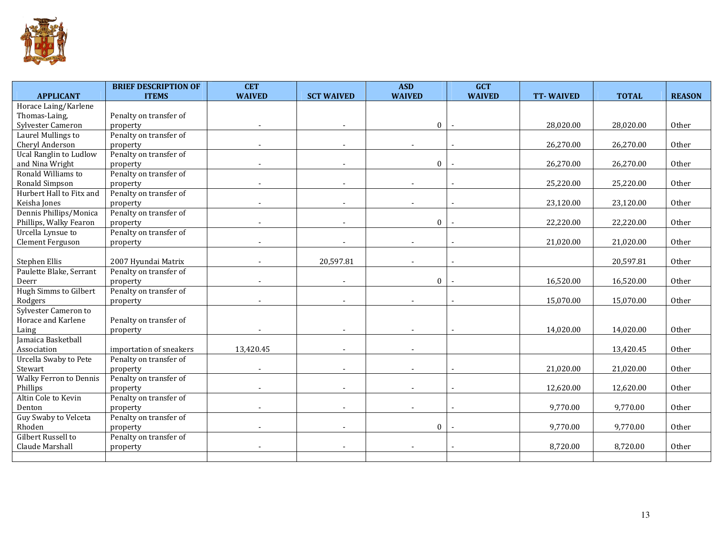

|                               | <b>BRIEF DESCRIPTION OF</b> | <b>CET</b>    |                          | <b>ASD</b>    | <b>GCT</b>    |                  |              |               |
|-------------------------------|-----------------------------|---------------|--------------------------|---------------|---------------|------------------|--------------|---------------|
| <b>APPLICANT</b>              | <b>ITEMS</b>                | <b>WAIVED</b> | <b>SCT WAIVED</b>        | <b>WAIVED</b> | <b>WAIVED</b> | <b>TT-WAIVED</b> | <b>TOTAL</b> | <b>REASON</b> |
| Horace Laing/Karlene          |                             |               |                          |               |               |                  |              |               |
| Thomas-Laing,                 | Penalty on transfer of      |               |                          |               |               |                  |              |               |
| Sylvester Cameron             | property                    |               |                          | $\mathbf{0}$  |               | 28,020.00        | 28,020.00    | Other         |
| Laurel Mullings to            | Penalty on transfer of      |               |                          |               |               |                  |              |               |
| Cheryl Anderson               | property                    |               |                          |               |               | 26,270.00        | 26,270.00    | Other         |
| <b>Ucal Ranglin to Ludlow</b> | Penalty on transfer of      |               |                          |               |               |                  |              |               |
| and Nina Wright               | property                    |               |                          | $\mathbf{0}$  |               | 26,270.00        | 26,270.00    | Other         |
| Ronald Williams to            | Penalty on transfer of      |               |                          |               |               |                  |              |               |
| Ronald Simpson                | property                    |               |                          |               |               | 25,220.00        | 25,220.00    | Other         |
| Hurbert Hall to Fitx and      | Penalty on transfer of      |               |                          |               |               |                  |              |               |
| Keisha Jones                  | property                    |               |                          |               |               | 23,120.00        | 23,120.00    | Other         |
| Dennis Phillips/Monica        | Penalty on transfer of      |               |                          |               |               |                  |              |               |
| Phillips, Walky Fearon        | property                    |               |                          | $\theta$      |               | 22,220.00        | 22,220.00    | Other         |
| Urcella Lynsue to             | Penalty on transfer of      |               |                          |               |               |                  |              |               |
| Clement Ferguson              | property                    |               |                          |               |               | 21,020.00        | 21,020.00    | Other         |
|                               |                             |               |                          |               |               |                  |              |               |
| Stephen Ellis                 | 2007 Hyundai Matrix         |               | 20,597.81                |               |               |                  | 20,597.81    | Other         |
| Paulette Blake, Serrant       | Penalty on transfer of      |               |                          |               |               |                  |              |               |
| Deerr                         | property                    |               |                          | $\Omega$      |               | 16,520.00        | 16,520.00    | Other         |
| Hugh Simms to Gilbert         | Penalty on transfer of      |               |                          |               |               |                  |              |               |
| Rodgers                       | property                    |               |                          |               |               | 15,070.00        | 15,070.00    | Other         |
| Sylvester Cameron to          |                             |               |                          |               |               |                  |              |               |
| Horace and Karlene            | Penalty on transfer of      |               |                          |               |               |                  |              |               |
| Laing                         | property                    |               |                          |               |               | 14,020.00        | 14,020.00    | Other         |
| Jamaica Basketball            |                             |               |                          |               |               |                  |              |               |
| Association                   | importation of sneakers     | 13,420.45     |                          |               |               |                  | 13,420.45    | Other         |
| Urcella Swaby to Pete         | Penalty on transfer of      |               |                          |               |               |                  |              |               |
| Stewart                       | property                    |               |                          |               |               | 21,020.00        | 21,020.00    | Other         |
| <b>Walky Ferron to Dennis</b> | Penalty on transfer of      |               |                          |               |               |                  |              |               |
| Phillips                      | property                    |               |                          |               |               | 12,620.00        | 12,620.00    | Other         |
| Altin Cole to Kevin           | Penalty on transfer of      |               |                          |               |               |                  |              |               |
| Denton                        | property                    |               | $\overline{\phantom{a}}$ |               |               | 9,770.00         | 9,770.00     | Other         |
| Guy Swaby to Velceta          | Penalty on transfer of      |               |                          |               |               |                  |              |               |
| Rhoden                        | property                    |               |                          | $\Omega$      |               | 9,770.00         | 9,770.00     | Other         |
| Gilbert Russell to            | Penalty on transfer of      |               |                          |               |               |                  |              |               |
| Claude Marshall               | property                    |               |                          |               |               | 8,720.00         | 8,720.00     | Other         |
|                               |                             |               |                          |               |               |                  |              |               |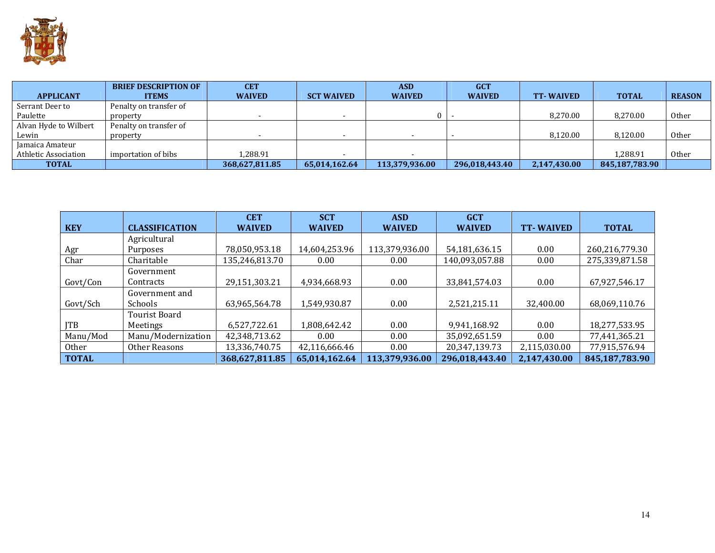

|                       | <b>BRIEF DESCRIPTION OF</b> | <b>CET</b>     |                          | <b>ASD</b>     | <b>GCT</b>     |                  |                |               |
|-----------------------|-----------------------------|----------------|--------------------------|----------------|----------------|------------------|----------------|---------------|
| <b>APPLICANT</b>      | <b>ITEMS</b>                | <b>WAIVED</b>  | <b>SCT WAIVED</b>        | <b>WAIVED</b>  | <b>WAIVED</b>  | <b>TT-WAIVED</b> | <b>TOTAL</b>   | <b>REASON</b> |
| Serrant Deer to       | Penalty on transfer of      |                |                          |                |                |                  |                |               |
| Paulette              | property                    |                | $\overline{\phantom{0}}$ | $\Omega$       |                | 8,270.00         | 8,270.00       | Other         |
| Alvan Hyde to Wilbert | Penalty on transfer of      |                |                          |                |                |                  |                |               |
| Lewin                 | property                    |                | $\overline{\phantom{0}}$ |                |                | 8.120.00         | 8,120.00       | <b>Other</b>  |
| Jamaica Amateur       |                             |                |                          |                |                |                  |                |               |
| Athletic Association  | importation of bibs         | .288.91        |                          |                |                |                  | 1,288.91       | Other         |
| <b>TOTAL</b>          |                             | 368,627,811.85 | 65,014,162.64            | 113,379,936.00 | 296,018,443.40 | 2,147,430.00     | 845,187,783.90 |               |

|              |                       | <b>CET</b>     | <b>SCT</b>    | <b>ASD</b>     | <b>GCT</b>     |                  |                |
|--------------|-----------------------|----------------|---------------|----------------|----------------|------------------|----------------|
| <b>KEY</b>   | <b>CLASSIFICATION</b> | <b>WAIVED</b>  | <b>WAIVED</b> | <b>WAIVED</b>  | <b>WAIVED</b>  | <b>TT-WAIVED</b> | <b>TOTAL</b>   |
|              | Agricultural          |                |               |                |                |                  |                |
| Agr          | Purposes              | 78,050,953.18  | 14,604,253.96 | 113,379,936.00 | 54,181,636.15  | 0.00             | 260,216,779.30 |
| Char         | Charitable            | 135,246,813.70 | 0.00          | 0.00           | 140,093,057.88 | 0.00             | 275,339,871.58 |
|              | Government            |                |               |                |                |                  |                |
| Govt/Con     | Contracts             | 29,151,303.21  | 4,934,668.93  | 0.00           | 33,841,574.03  | 0.00             | 67,927,546.17  |
|              | Government and        |                |               |                |                |                  |                |
| Govt/Sch     | <b>Schools</b>        | 63,965,564.78  | 1,549,930.87  | 0.00           | 2,521,215.11   | 32,400.00        | 68,069,110.76  |
|              | Tourist Board         |                |               |                |                |                  |                |
| <b>ITB</b>   | Meetings              | 6,527,722.61   | 1,808,642.42  | 0.00           | 9,941,168.92   | 0.00             | 18,277,533.95  |
| Manu/Mod     | Manu/Modernization    | 42,348,713.62  | 0.00          | 0.00           | 35,092,651.59  | 0.00             | 77,441,365.21  |
| Other        | Other Reasons         | 13,336,740.75  | 42,116,666.46 | 0.00           | 20,347,139.73  | 2,115,030.00     | 77,915,576.94  |
| <b>TOTAL</b> |                       | 368,627,811.85 | 65,014,162.64 | 113,379,936.00 | 296,018,443.40 | 2,147,430.00     | 845,187,783.90 |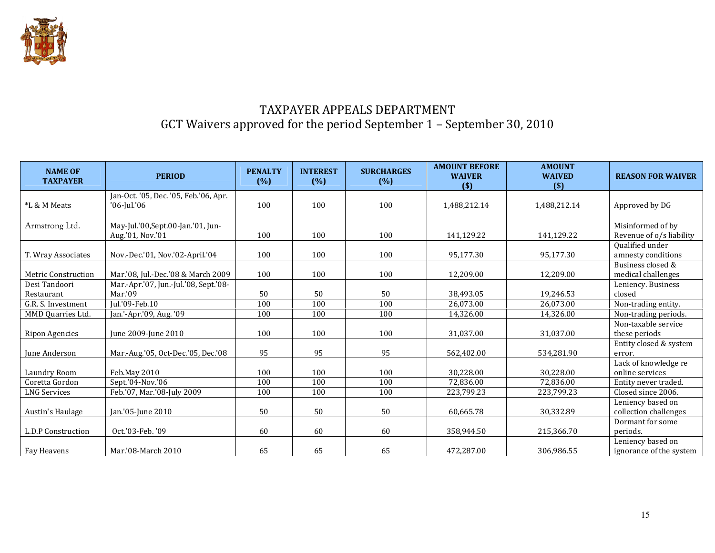

## TAXPAYER APPEALS DEPARTMENT GCT Waivers approved for the period September 1 – September 30, 2010

| <b>NAME OF</b><br><b>TAXPAYER</b> | <b>PERIOD</b>                                              | <b>PENALTY</b><br>(%) | <b>INTEREST</b><br>(%) | <b>SURCHARGES</b><br>(% ) | <b>AMOUNT BEFORE</b><br><b>WAIVER</b><br>$($)$ | <b>AMOUNT</b><br><b>WAIVED</b><br>(5) | <b>REASON FOR WAIVER</b>                      |
|-----------------------------------|------------------------------------------------------------|-----------------------|------------------------|---------------------------|------------------------------------------------|---------------------------------------|-----------------------------------------------|
| *L & M Meats                      | Jan-Oct. '05, Dec. '05, Feb.'06, Apr.<br>$'06$ -Jul. $'06$ | 100                   | 100                    | 100                       | 1,488,212.14                                   | 1,488,212.14                          | Approved by DG                                |
| Armstrong Ltd.                    | May-Jul.'00, Sept.00-Jan.'01, Jun-<br>Aug.'01, Nov.'01     | 100                   | 100                    | 100                       | 141,129.22                                     | 141,129.22                            | Misinformed of by<br>Revenue of o/s liability |
| T. Wray Associates                | Nov.-Dec.'01, Nov.'02-April.'04                            | 100                   | 100                    | 100                       | 95,177.30                                      | 95,177.30                             | Qualified under<br>amnesty conditions         |
| <b>Metric Construction</b>        | Mar.'08, Jul.-Dec.'08 & March 2009                         | 100                   | 100                    | 100                       | 12,209.00                                      | 12,209.00                             | Business closed &<br>medical challenges       |
| Desi Tandoori<br>Restaurant       | Mar.-Apr.'07, Jun.-Jul.'08, Sept.'08-<br>Mar.'09           | 50                    | 50                     | 50                        | 38,493.05                                      | 19,246.53                             | Leniency. Business<br>closed                  |
| G.R. S. Investment                | Jul.'09-Feb.10                                             | 100                   | 100                    | 100                       | 26,073.00                                      | 26.073.00                             | Non-trading entity.                           |
| MMD Quarries Ltd.                 | Jan.'-Apr.'09, Aug. '09                                    | 100                   | 100                    | 100                       | 14,326.00                                      | 14,326.00                             | Non-trading periods.                          |
| <b>Ripon Agencies</b>             | June 2009-June 2010                                        | 100                   | 100                    | 100                       | 31,037.00                                      | 31,037.00                             | Non-taxable service<br>these periods          |
| June Anderson                     | Mar.-Aug.'05, Oct-Dec.'05, Dec.'08                         | 95                    | 95                     | 95                        | 562,402.00                                     | 534,281.90                            | Entity closed & system<br>error.              |
| Laundry Room                      | Feb.May 2010                                               | 100                   | 100                    | 100                       | 30,228.00                                      | 30,228.00                             | Lack of knowledge re<br>online services       |
| Coretta Gordon                    | Sept.'04-Nov.'06                                           | 100                   | 100                    | 100                       | 72,836.00                                      | 72,836.00                             | Entity never traded.                          |
| <b>LNG Services</b>               | Feb.'07, Mar.'08-July 2009                                 | 100                   | 100                    | 100                       | 223,799.23                                     | 223,799.23                            | Closed since 2006.                            |
| Austin's Haulage                  | Jan.'05-June 2010                                          | 50                    | 50                     | 50                        | 60,665.78                                      | 30,332.89                             | Leniency based on<br>collection challenges    |
| L.D.P Construction                | Oct.'03-Feb.'09                                            | 60                    | 60                     | 60                        | 358,944.50                                     | 215,366.70                            | Dormant for some<br>periods.                  |
| Fay Heavens                       | Mar.'08-March 2010                                         | 65                    | 65                     | 65                        | 472,287.00                                     | 306,986.55                            | Leniency based on<br>ignorance of the system  |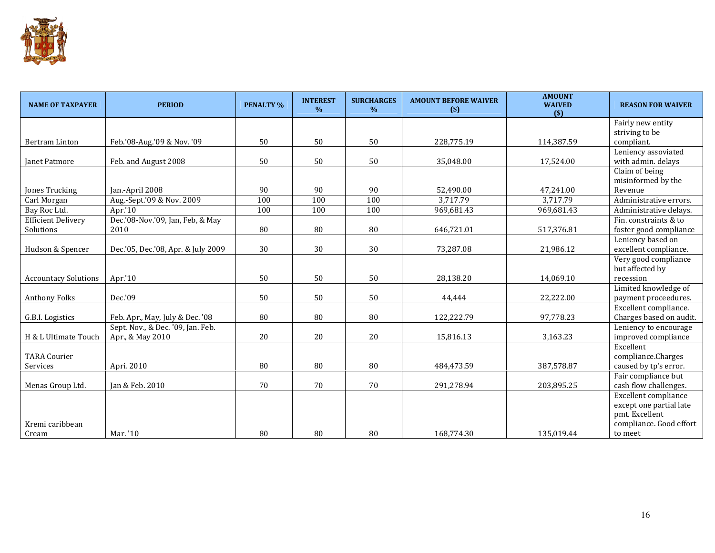

| <b>NAME OF TAXPAYER</b>     | <b>PERIOD</b>                      | <b>PENALTY %</b> | <b>INTEREST</b><br>$\%$ | <b>SURCHARGES</b><br>$\%$ | <b>AMOUNT BEFORE WAIVER</b><br>$($)$ | <b>AMOUNT</b><br><b>WAIVED</b><br>$($)$ | <b>REASON FOR WAIVER</b> |
|-----------------------------|------------------------------------|------------------|-------------------------|---------------------------|--------------------------------------|-----------------------------------------|--------------------------|
|                             |                                    |                  |                         |                           |                                      |                                         | Fairly new entity        |
|                             |                                    |                  |                         |                           |                                      |                                         | striving to be           |
| <b>Bertram Linton</b>       | Feb.'08-Aug.'09 & Nov.'09          | 50               | 50                      | 50                        | 228,775.19                           | 114,387.59                              | compliant.               |
|                             |                                    |                  |                         |                           |                                      |                                         | Leniency assoviated      |
| <b>Ianet Patmore</b>        | Feb. and August 2008               | 50               | 50                      | 50                        | 35,048.00                            | 17,524.00                               | with admin. delays       |
|                             |                                    |                  |                         |                           |                                      |                                         | Claim of being           |
|                             |                                    |                  |                         |                           |                                      |                                         | misinformed by the       |
| Jones Trucking              | Jan.-April 2008                    | 90               | 90                      | 90                        | 52,490.00                            | 47,241.00                               | Revenue                  |
| Carl Morgan                 | Aug.-Sept.'09 & Nov. 2009          | 100              | 100                     | 100                       | 3,717.79                             | 3,717.79                                | Administrative errors.   |
| Bay Roc Ltd.                | Apr.'10                            | 100              | 100                     | 100                       | 969,681.43                           | 969,681.43                              | Administrative delays.   |
| <b>Efficient Delivery</b>   | Dec.'08-Nov.'09, Jan, Feb, & May   |                  |                         |                           |                                      |                                         | Fin. constraints & to    |
| Solutions                   | 2010                               | 80               | 80                      | 80                        | 646,721.01                           | 517,376.81                              | foster good compliance   |
|                             |                                    |                  |                         |                           |                                      |                                         | Leniency based on        |
| Hudson & Spencer            | Dec.'05, Dec.'08, Apr. & July 2009 | 30               | 30                      | 30                        | 73,287.08                            | 21,986.12                               | excellent compliance.    |
|                             |                                    |                  |                         |                           |                                      |                                         | Very good compliance     |
|                             |                                    |                  |                         |                           |                                      |                                         | but affected by          |
| <b>Accountacy Solutions</b> | Apr.'10                            | 50               | 50                      | 50                        | 28,138.20                            | 14,069.10                               | recession                |
|                             |                                    |                  |                         |                           |                                      |                                         | Limited knowledge of     |
| <b>Anthony Folks</b>        | Dec.'09                            | 50               | 50                      | 50                        | 44,444                               | 22,222.00                               | payment proceedures.     |
|                             |                                    |                  |                         |                           |                                      |                                         | Excellent compliance.    |
| G.B.I. Logistics            | Feb. Apr., May, July & Dec. '08    | 80               | 80                      | 80                        | 122,222.79                           | 97,778.23                               | Charges based on audit.  |
|                             | Sept. Nov., & Dec. '09, Jan. Feb.  |                  |                         |                           |                                      |                                         | Leniency to encourage    |
| H & L Ultimate Touch        | Apr., & May 2010                   | 20               | 20                      | 20                        | 15,816.13                            | 3,163.23                                | improved compliance      |
|                             |                                    |                  |                         |                           |                                      |                                         | Excellent                |
| <b>TARA Courier</b>         |                                    |                  |                         |                           |                                      |                                         | compliance.Charges       |
| Services                    | Apri. 2010                         | 80               | 80                      | 80                        | 484,473.59                           | 387,578.87                              | caused by tp's error.    |
|                             |                                    |                  |                         |                           |                                      |                                         | Fair compliance but      |
| Menas Group Ltd.            | Jan & Feb. 2010                    | 70               | 70                      | 70                        | 291,278.94                           | 203,895.25                              | cash flow challenges.    |
|                             |                                    |                  |                         |                           |                                      |                                         | Excellent compliance     |
|                             |                                    |                  |                         |                           |                                      |                                         | except one partial late  |
| Kremi caribbean             |                                    |                  |                         |                           |                                      |                                         | pmt. Excellent           |
|                             |                                    |                  |                         |                           |                                      |                                         | compliance. Good effort  |
| Cream                       | Mar. '10                           | 80               | 80                      | 80                        | 168,774.30                           | 135,019.44                              | to meet                  |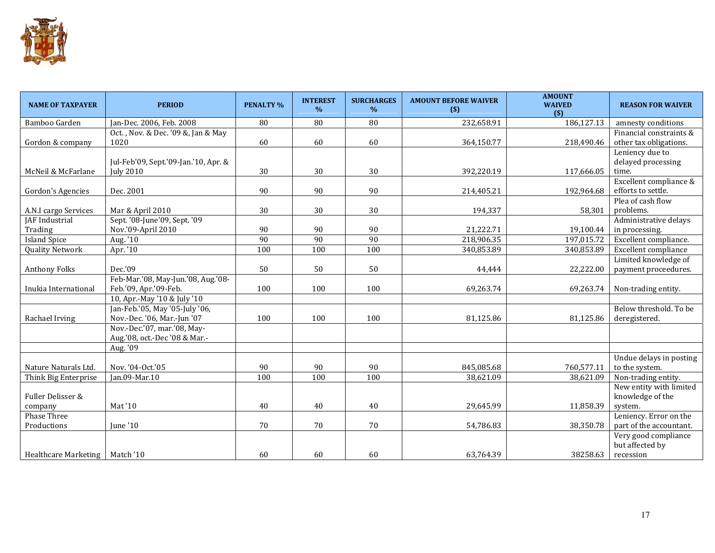

| <b>NAME OF TAXPAYER</b> | <b>PERIOD</b>                        | <b>PENALTY %</b> | <b>INTEREST</b><br>$\%$ | <b>SURCHARGES</b><br>$\%$ | <b>AMOUNT BEFORE WAIVER</b><br>$($)$ | <b>AMOUNT</b><br><b>WAIVED</b><br>$($)$ | <b>REASON FOR WAIVER</b>    |
|-------------------------|--------------------------------------|------------------|-------------------------|---------------------------|--------------------------------------|-----------------------------------------|-----------------------------|
| Bamboo Garden           | Jan-Dec. 2006, Feb. 2008             | 80               | 80                      | 80                        | 232,658.91                           | 186,127.13                              | amnesty conditions          |
|                         | Oct., Nov. & Dec. '09 &, Jan & May   |                  |                         |                           |                                      |                                         | Financial constraints &     |
| Gordon & company        | 1020                                 | 60               | 60                      | 60                        | 364,150.77                           | 218,490.46                              | other tax obligations.      |
|                         |                                      |                  |                         |                           |                                      |                                         | Leniency due to             |
|                         | Jul-Feb'09, Sept.'09-Jan.'10, Apr. & |                  |                         |                           |                                      |                                         | delayed processing          |
| McNeil & McFarlane      | <b>July 2010</b>                     | 30               | 30                      | 30                        | 392,220.19                           | 117,666.05                              | time.                       |
|                         |                                      |                  |                         |                           |                                      |                                         | Excellent compliance &      |
| Gordon's Agencies       | Dec. 2001                            | 90               | 90                      | 90                        | 214,405.21                           | 192,964.68                              | efforts to settle.          |
|                         |                                      |                  |                         |                           |                                      |                                         | Plea of cash flow           |
| A.N.I cargo Services    | Mar & April 2010                     | $30\,$           | 30                      | 30                        | 194,337                              | 58,301                                  | problems.                   |
| JAF Industrial          | Sept. '08-June'09, Sept. '09         |                  |                         |                           |                                      |                                         | Administrative delays       |
| Trading                 | Nov.'09-April 2010                   | 90               | 90                      | 90                        | 21,222.71                            | 19,100.44                               | in processing.              |
| <b>Island Spice</b>     | Aug. '10                             | 90               | 90                      | 90                        | 218,906.35                           | 197,015.72                              | Excellent compliance.       |
| <b>Quality Network</b>  | Apr. '10                             | 100              | 100                     | 100                       | 340,853.89                           | 340,853.89                              | <b>Excellent compliance</b> |
|                         |                                      |                  |                         |                           |                                      |                                         | Limited knowledge of        |
| <b>Anthony Folks</b>    | Dec.'09                              | 50               | 50                      | 50                        | 44,444                               | 22,222.00                               | payment proceedures.        |
|                         | Feb-Mar.'08, May-Jun.'08, Aug.'08-   |                  |                         |                           |                                      |                                         |                             |
| Inukia International    | Feb.'09, Apr.'09-Feb.                | 100              | 100                     | 100                       | 69,263.74                            | 69,263.74                               | Non-trading entity.         |
|                         | 10, Apr.-May '10 & July '10          |                  |                         |                           |                                      |                                         |                             |
|                         | Jan-Feb.'05, May '05-July '06,       |                  |                         |                           |                                      |                                         | Below threshold. To be      |
| Rachael Irving          | Nov.-Dec. '06, Mar.-Jun '07          | 100              | 100                     | 100                       | 81,125.86                            | 81,125.86                               | deregistered.               |
|                         | Nov.-Dec.'07, mar.'08, May-          |                  |                         |                           |                                      |                                         |                             |
|                         | Aug.'08, oct.-Dec '08 & Mar.-        |                  |                         |                           |                                      |                                         |                             |
|                         | Aug. '09                             |                  |                         |                           |                                      |                                         |                             |
|                         |                                      |                  |                         |                           |                                      |                                         | Undue delays in posting     |
| Nature Naturals Ltd.    | Nov. '04-Oct.'05                     | 90               | 90                      | 90                        | 845,085.68                           | 760,577.11                              | to the system.              |
| Think Big Enterprise    | Jan.09-Mar.10                        | 100              | 100                     | 100                       | 38,621.09                            | 38,621.09                               | Non-trading entity.         |
|                         |                                      |                  |                         |                           |                                      |                                         | New entity with limited     |
| Fuller Delisser &       |                                      |                  |                         |                           |                                      |                                         | knowledge of the            |
| company                 | Mat '10                              | 40               | 40                      | 40                        | 29,645.99                            | 11,858.39                               | system.                     |
| Phase Three             |                                      |                  |                         |                           |                                      |                                         | Leniency. Error on the      |
| Productions             | June '10                             | 70               | 70                      | 70                        | 54,786.83                            | 38,350.78                               | part of the accountant.     |
|                         |                                      |                  |                         |                           |                                      |                                         | Very good compliance        |
|                         |                                      |                  |                         |                           |                                      |                                         | but affected by             |
| Healthcare Marketing    | Match '10                            | 60               | 60                      | 60                        | 63,764.39                            | 38258.63                                | recession                   |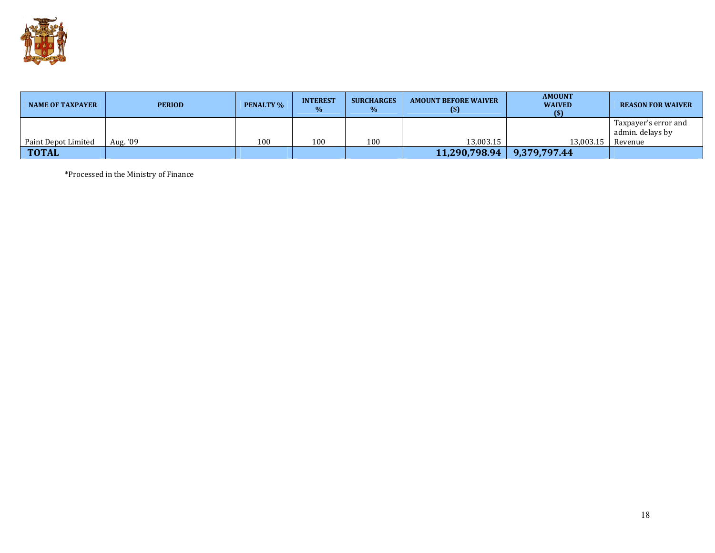

| <b>NAME OF TAXPAYER</b> | <b>PERIOD</b> | <b>PENALTY %</b> | <b>INTEREST</b><br>$\%$ | <b>SURCHARGES</b><br>$\%$ | <b>AMOUNT BEFORE WAIVER</b><br>$\left( \mathbf{S}\right)$ | <b>AMOUNT</b><br><b>WAIVED</b><br>$\binom{5}{5}$ | <b>REASON FOR WAIVER</b>                 |
|-------------------------|---------------|------------------|-------------------------|---------------------------|-----------------------------------------------------------|--------------------------------------------------|------------------------------------------|
|                         |               |                  |                         |                           |                                                           |                                                  | Taxpayer's error and<br>admin. delays by |
| Paint Depot Limited     | Aug. '09      | 100              | 100                     | 100                       | 13.003.15                                                 | 13.003.15                                        | Revenue                                  |
| <b>TOTAL</b>            |               |                  |                         |                           | 11,290,798.94                                             | 9,379,797.44                                     |                                          |

\*Processed in the Ministry of Finance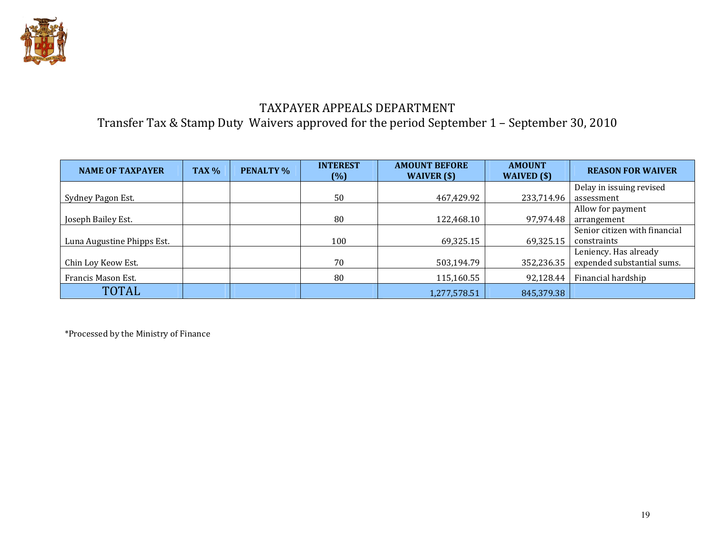

### TAXPAYER APPEALS DEPARTMENT Transfer Tax & Stamp Duty Waivers approved for the period September 1 – September 30, 2010

| <b>NAME OF TAXPAYER</b>    | TAX <sub>%</sub> | <b>PENALTY %</b> | <b>INTEREST</b><br>$(\% )$ | <b>AMOUNT BEFORE</b><br>WAIVER $(s)$ | <b>AMOUNT</b><br>WAIVED $(\$)$ | <b>REASON FOR WAIVER</b>      |
|----------------------------|------------------|------------------|----------------------------|--------------------------------------|--------------------------------|-------------------------------|
|                            |                  |                  |                            |                                      |                                | Delay in issuing revised      |
| Sydney Pagon Est.          |                  |                  | 50                         | 467,429.92                           | 233,714.96                     | assessment                    |
|                            |                  |                  |                            |                                      |                                | Allow for payment             |
| Joseph Bailey Est.         |                  |                  | 80                         | 122,468.10                           | 97,974.48                      | arrangement                   |
|                            |                  |                  |                            |                                      |                                | Senior citizen with financial |
| Luna Augustine Phipps Est. |                  |                  | 100                        | 69,325.15                            | 69,325.15                      | constraints                   |
|                            |                  |                  |                            |                                      |                                | Leniency. Has already         |
| Chin Loy Keow Est.         |                  |                  | 70                         | 503,194.79                           | 352,236.35                     | expended substantial sums.    |
| Francis Mason Est.         |                  |                  | 80                         | 115,160.55                           | 92,128.44                      | Financial hardship            |
| <b>TOTAL</b>               |                  |                  |                            | 1,277,578.51                         | 845,379.38                     |                               |

\*Processed by the Ministry of Finance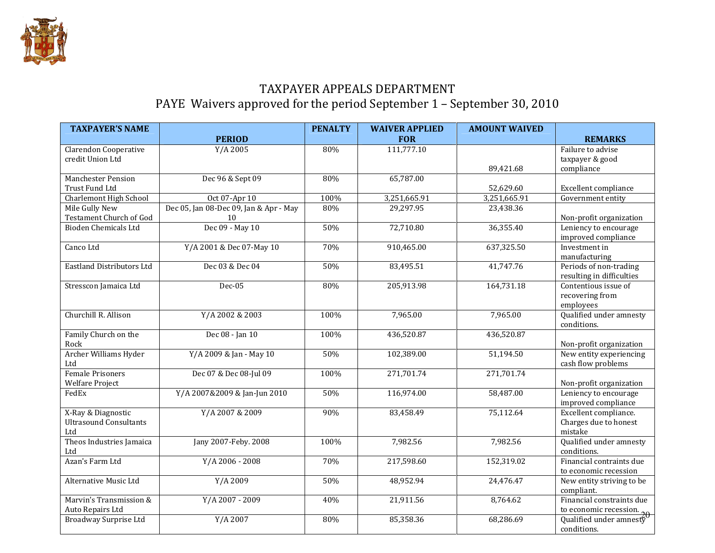

### TAXPAYER APPEALS DEPARTMENT PAYE Waivers approved for the period September 1 – September 30, 2010

| <b>PERIOD</b><br><b>FOR</b><br><b>REMARKS</b><br>111,777.10<br>Failure to advise<br><b>Clarendon Cooperative</b><br>Y/A 2005<br>80% |
|-------------------------------------------------------------------------------------------------------------------------------------|
|                                                                                                                                     |
|                                                                                                                                     |
| credit Union Ltd<br>taxpayer & good                                                                                                 |
| compliance<br>89,421.68                                                                                                             |
| Dec 96 & Sept 09<br>65,787.00<br><b>Manchester Pension</b><br>80%                                                                   |
| Excellent compliance<br>Trust Fund Ltd<br>52,629.60                                                                                 |
| 3,251,665.91<br><b>Charlemont High School</b><br>Oct 07-Apr 10<br>100%<br>3,251,665.91<br>Government entity                         |
| Dec 05, Jan 08-Dec 09, Jan & Apr - May<br>Mile Gully New<br>80%<br>29,297.95<br>23,438.36                                           |
| <b>Testament Church of God</b><br>Non-profit organization<br>10                                                                     |
| Dec 09 - May 10<br><b>Bioden Chemicals Ltd</b><br>72,710.80<br>36,355.40<br>50%<br>Leniency to encourage                            |
| improved compliance                                                                                                                 |
| Y/A 2001 & Dec 07-May 10<br>637,325.50<br>Canco Ltd<br>70%<br>910,465.00<br>Investment in                                           |
| manufacturing                                                                                                                       |
| <b>Eastland Distributors Ltd</b><br>Dec 03 & Dec 04<br>41,747.76<br>50%<br>83,495.51<br>Periods of non-trading                      |
| resulting in difficulties                                                                                                           |
| 164,731.18<br>Stresscon Jamaica Ltd<br>Dec-05<br>80%<br>205,913.98<br>Contentious issue of                                          |
| recovering from                                                                                                                     |
| employees                                                                                                                           |
| Churchill R. Allison<br>7,965.00<br>7,965.00<br>Qualified under amnesty<br>Y/A 2002 & 2003<br>100%                                  |
| conditions.                                                                                                                         |
| Family Church on the<br>Dec 08 - Jan 10<br>436,520.87<br>436,520.87<br>100%                                                         |
| Rock<br>Non-profit organization                                                                                                     |
| Archer Williams Hyder<br>New entity experiencing<br>Y/A 2009 & Jan - May 10<br>102,389.00<br>51,194.50<br>50%                       |
| cash flow problems<br>Ltd                                                                                                           |
| 271,701.74<br><b>Female Prisoners</b><br>Dec 07 & Dec 08-Jul 09<br>271,701.74<br>100%                                               |
| <b>Welfare Project</b><br>Non-profit organization                                                                                   |
| Y/A 2007&2009 & Jan-Jun 2010<br>116,974.00<br>58,487.00<br>Leniency to encourage<br>FedEx<br>50%                                    |
| improved compliance                                                                                                                 |
| X-Ray & Diagnostic<br>Y/A 2007 & 2009<br>75,112.64<br>Excellent compliance.<br>90%<br>83,458.49                                     |
| <b>Ultrasound Consultants</b><br>Charges due to honest                                                                              |
| mistake<br>Ltd                                                                                                                      |
| Theos Industries Jamaica<br>Jany 2007-Feby. 2008<br>7,982.56<br>7,982.56<br>Qualified under amnesty<br>100%                         |
| conditions.<br>Ltd                                                                                                                  |
| Azan's Farm Ltd<br>Financial contraints due<br>Y/A 2006 - 2008<br>70%<br>217,598.60<br>152,319.02                                   |
| to economic recession                                                                                                               |
| Y/A 2009<br>48,952.94<br>24,476.47<br>Alternative Music Ltd<br>50%<br>New entity striving to be                                     |
| compliant.                                                                                                                          |
| Financial constraints due<br>Marvin's Transmission &<br>Y/A 2007 - 2009<br>21,911.56<br>8,764.62<br>40%                             |
| Auto Repairs Ltd<br>to economic recession.<br>Qualified under amnesty                                                               |
| Y/A 2007<br>85,358.36<br>68,286.69<br>Broadway Surprise Ltd<br>80%                                                                  |
| conditions.                                                                                                                         |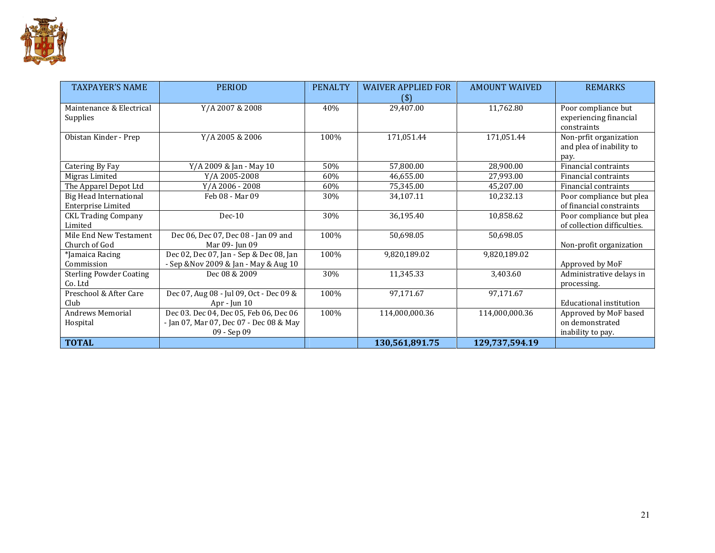

| <b>TAXPAYER'S NAME</b>               | <b>PERIOD</b>                           | <b>PENALTY</b> | <b>WAIVER APPLIED FOR</b><br>(3) | <b>AMOUNT WAIVED</b> | <b>REMARKS</b>                                               |
|--------------------------------------|-----------------------------------------|----------------|----------------------------------|----------------------|--------------------------------------------------------------|
| Maintenance & Electrical<br>Supplies | Y/A 2007 & 2008                         | 40%            | 29,407.00                        | 11,762.80            | Poor compliance but<br>experiencing financial<br>constraints |
| Obistan Kinder - Prep                | Y/A 2005 & 2006                         | 100%           | 171,051.44                       | 171,051.44           | Non-prfit organization<br>and plea of inability to<br>pay.   |
| Catering By Fay                      | Y/A 2009 & Jan - May 10                 | 50%            | 57,800.00                        | 28,900.00            | Financial contraints                                         |
| Migras Limited                       | Y/A 2005-2008                           | 60%            | 46,655.00                        | 27,993.00            | Financial contraints                                         |
| The Apparel Depot Ltd                | Y/A 2006 - 2008                         | 60%            | 75.345.00                        | 45.207.00            | Financial contraints                                         |
| Big Head International               | Feb 08 - Mar 09                         | 30%            | 34,107.11                        | 10,232.13            | Poor compliance but plea                                     |
| <b>Enterprise Limited</b>            |                                         |                |                                  |                      | of financial constraints                                     |
| <b>CKL Trading Company</b>           | $Dec-10$                                | 30%            | 36,195.40                        | 10,858.62            | Poor compliance but plea                                     |
| Limited                              |                                         |                |                                  |                      | of collection difficulties.                                  |
| Mile End New Testament               | Dec 06, Dec 07, Dec 08 - Jan 09 and     | 100%           | 50,698.05                        | 50,698.05            |                                                              |
| Church of God                        | Mar 09- Jun 09                          |                |                                  |                      | Non-profit organization                                      |
| *Jamaica Racing                      | Dec 02, Dec 07, Jan - Sep & Dec 08, Jan | 100%           | 9,820,189.02                     | 9,820,189.02         |                                                              |
| Commission                           | - Sep & Nov 2009 & Jan - May & Aug 10   |                |                                  |                      | Approved by MoF                                              |
| <b>Sterling Powder Coating</b>       | Dec 08 & 2009                           | 30%            | 11,345.33                        | 3,403.60             | Administrative delays in                                     |
| Co. Ltd                              |                                         |                |                                  |                      | processing.                                                  |
| Preschool & After Care               | Dec 07, Aug 08 - Jul 09, Oct - Dec 09 & | 100%           | 97,171.67                        | 97,171.67            |                                                              |
| Club                                 | Apr - Jun $10$                          |                |                                  |                      | Educational institution                                      |
| <b>Andrews Memorial</b>              | Dec 03. Dec 04, Dec 05, Feb 06, Dec 06  | 100%           | 114,000,000.36                   | 114,000,000.36       | Approved by MoF based                                        |
| Hospital                             | - Jan 07, Mar 07, Dec 07 - Dec 08 & May |                |                                  |                      | on demonstrated                                              |
|                                      | 09 - Sep 09                             |                |                                  |                      | inability to pay.                                            |
| <b>TOTAL</b>                         |                                         |                | 130,561,891.75                   | 129,737,594.19       |                                                              |